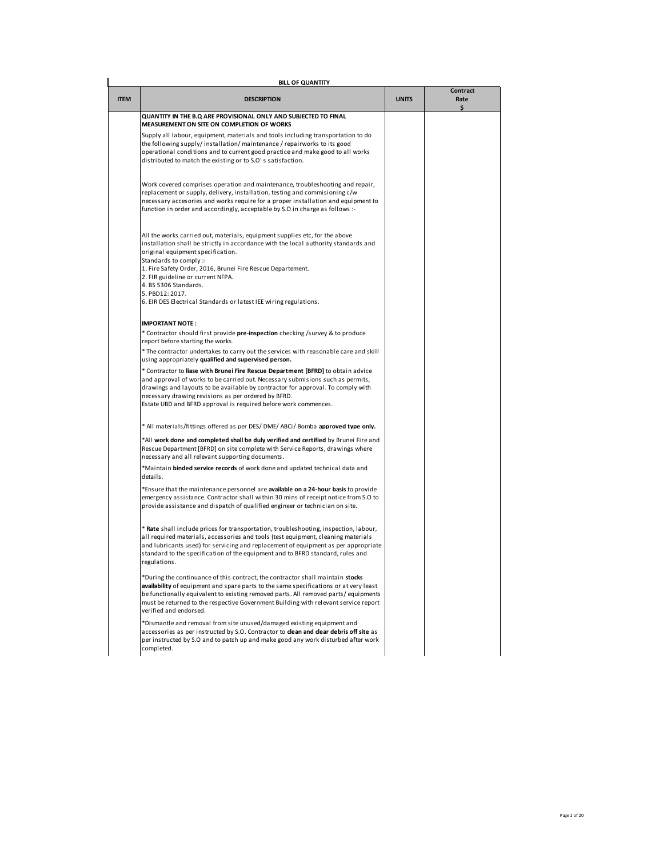| <b>ITEM</b> | <b>BILL OF QUANTITY</b><br><b>DESCRIPTION</b>                                                                                                                                                                                                                                                                                                                                                                                                          | <b>UNITS</b> | Contract<br>Rate |
|-------------|--------------------------------------------------------------------------------------------------------------------------------------------------------------------------------------------------------------------------------------------------------------------------------------------------------------------------------------------------------------------------------------------------------------------------------------------------------|--------------|------------------|
|             |                                                                                                                                                                                                                                                                                                                                                                                                                                                        |              | Ś.               |
|             | QUANTITY IN THE B.Q ARE PROVISIONAL ONLY AND SUBJECTED TO FINAL<br>MEASUREMENT ON SITE ON COMPLETION OF WORKS                                                                                                                                                                                                                                                                                                                                          |              |                  |
|             | Supply all labour, equipment, materials and tools including transportation to do<br>the following supply/installation/maintenance/repairworks to its good<br>operational conditions and to current good practice and make good to all works<br>distributed to match the existing or to S.O's satisfaction.                                                                                                                                             |              |                  |
|             | Work covered comprises operation and maintenance, troubleshooting and repair,<br>replacement or supply, delivery, installation, testing and commisioning c/w<br>necessary accesories and works require for a proper installation and equipment to<br>function in order and accordingly, acceptable by S.O in charge as follows :-                                                                                                                      |              |                  |
|             | All the works carried out, materials, equipment supplies etc, for the above<br>installation shall be strictly in accordance with the local authority standards and<br>original equipment specification.<br>Standards to comply :-<br>1. Fire Safety Order, 2016, Brunei Fire Rescue Departement.<br>2. FIR guideline or current NFPA.<br>4. BS 5306 Standards.<br>5. PBD12: 2017.<br>6. EIR DES Electrical Standards or latest IEE wiring regulations. |              |                  |
|             |                                                                                                                                                                                                                                                                                                                                                                                                                                                        |              |                  |
|             | <b>IMPORTANT NOTE:</b><br>* Contractor should first provide pre-inspection checking /survey & to produce                                                                                                                                                                                                                                                                                                                                               |              |                  |
|             | report before starting the works.<br>* The contractor undertakes to carry out the services with reasonable care and skill<br>using appropriately qualified and supervised person.                                                                                                                                                                                                                                                                      |              |                  |
|             | * Contractor to liase with Brunei Fire Rescue Department [BFRD] to obtain advice<br>and approval of works to be carried out. Necessary submisions such as permits,<br>drawings and layouts to be available by contractor for approval. To comply with<br>necessary drawing revisions as per ordered by BFRD.<br>Estate UBD and BFRD approval is required before work commences.                                                                        |              |                  |
|             | * All materials/fittings offered as per DES/ DME/ ABCi/ Bomba approved type only.                                                                                                                                                                                                                                                                                                                                                                      |              |                  |
|             | *All work done and completed shall be duly verified and certified by Brunei Fire and<br>Rescue Department [BFRD] on site complete with Service Reports, drawings where<br>necessary and all relevant supporting documents.                                                                                                                                                                                                                             |              |                  |
|             | *Maintain binded service records of work done and updated technical data and<br>details.                                                                                                                                                                                                                                                                                                                                                               |              |                  |
|             | *Ensure that the maintenance personnel are available on a 24-hour basis to provide<br>emergency assistance. Contractor shall within 30 mins of receipt notice from S.O to<br>provide assistance and dispatch of qualified engineer or technician on site.                                                                                                                                                                                              |              |                  |
|             | * Rate shall include prices for transportation, troubleshooting, inspection, labour,<br>all required materials, accessories and tools (test equipment, cleaning materials<br>and lubricants used) for servicing and replacement of equipment as per appropriate<br>standard to the specification of the equipment and to BFRD standard, rules and<br>regulations.                                                                                      |              |                  |
|             | *During the continuance of this contract, the contractor shall maintain stocks<br>availability of equipment and spare parts to the same specifications or at very least<br>be functionally equivalent to existing removed parts. All removed parts/equipments<br>must be returned to the respective Government Building with relevant service report<br>verified and endorsed.                                                                         |              |                  |
|             | *Dismantle and removal from site unused/damaged existing equipment and<br>accessories as per instructed by S.O. Contractor to clean and clear debris off site as<br>per instructed by S.O and to patch up and make good any work disturbed after work<br>completed.                                                                                                                                                                                    |              |                  |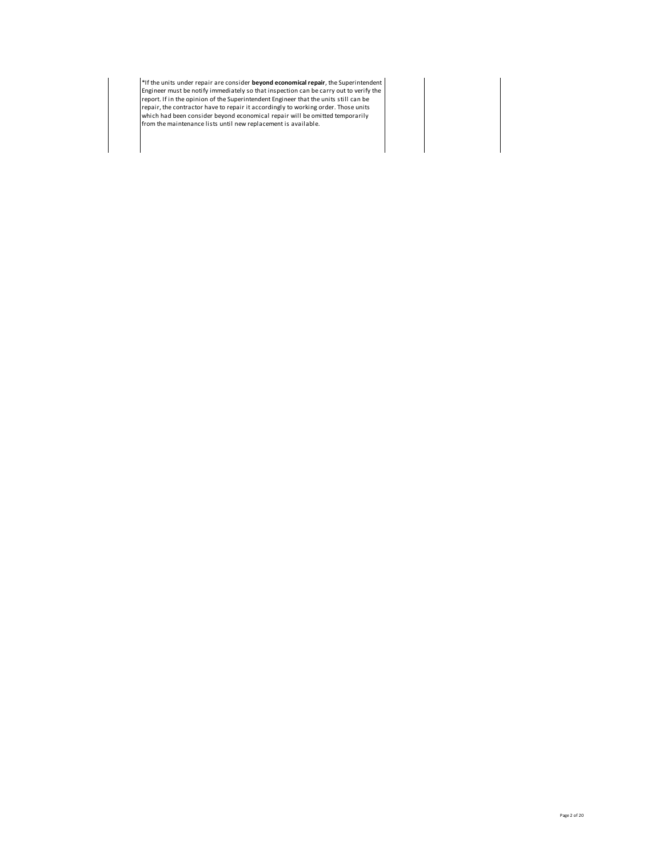\*If the units under repair are consider **beyond economical repair**, the Superintendent<br>Engineer must be notify immediately so that inspection can be carry out to verify the<br>report. If in the opinion of the Superintendent E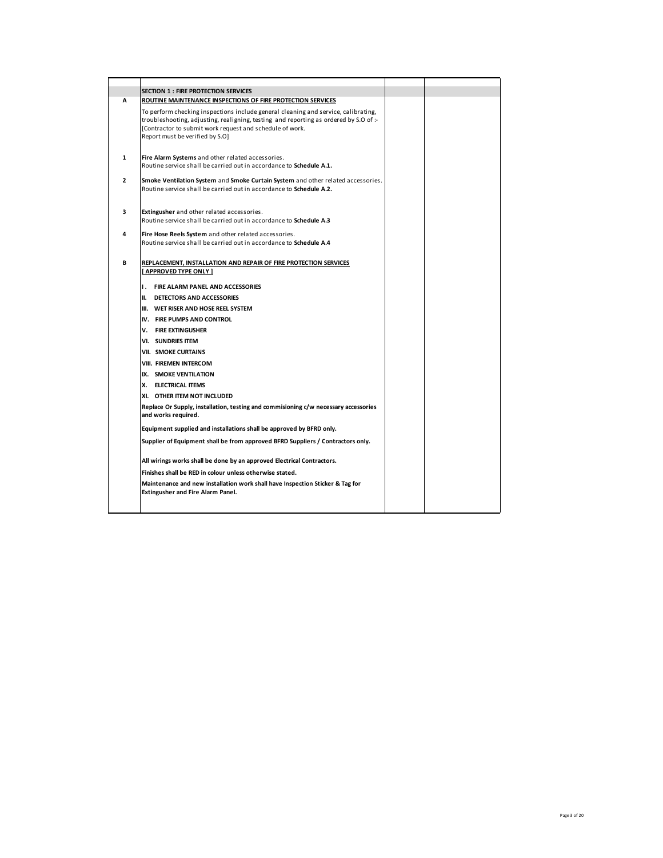|                | <b>SECTION 1 : FIRE PROTECTION SERVICES</b>                                                                                                                                                                                            |  |
|----------------|----------------------------------------------------------------------------------------------------------------------------------------------------------------------------------------------------------------------------------------|--|
| Α              | ROUTINE MAINTENANCE INSPECTIONS OF FIRE PROTECTION SERVICES                                                                                                                                                                            |  |
|                | To perform checking inspections include general cleaning and service, calibrating,<br>troubleshooting, adjusting, realigning, testing and reporting as ordered by S.O of:-<br>[Contractor to submit work request and schedule of work. |  |
|                | Report must be verified by S.O]                                                                                                                                                                                                        |  |
| $\mathbf{1}$   | Fire Alarm Systems and other related accessories.<br>Routine service shall be carried out in accordance to Schedule A.1.                                                                                                               |  |
|                |                                                                                                                                                                                                                                        |  |
| $\overline{2}$ | Smoke Ventilation System and Smoke Curtain System and other related accessories.<br>Routine service shall be carried out in accordance to Schedule A.2.                                                                                |  |
| 3              | Extingusher and other related accessories.<br>Routine service shall be carried out in accordance to Schedule A.3                                                                                                                       |  |
| 4              | Fire Hose Reels System and other related accessories.                                                                                                                                                                                  |  |
|                | Routine service shall be carried out in accordance to Schedule A.4                                                                                                                                                                     |  |
| B              | REPLACEMENT, INSTALLATION AND REPAIR OF FIRE PROTECTION SERVICES                                                                                                                                                                       |  |
|                | [ APPROVED TYPE ONLY ]                                                                                                                                                                                                                 |  |
|                | <b>1. FIRE ALARM PANEL AND ACCESSORIES</b>                                                                                                                                                                                             |  |
|                | II. DETECTORS AND ACCESSORIES                                                                                                                                                                                                          |  |
|                | III. WET RISER AND HOSE REEL SYSTEM                                                                                                                                                                                                    |  |
|                | IV. FIRE PUMPS AND CONTROL                                                                                                                                                                                                             |  |
|                | V. FIRE EXTINGUSHER                                                                                                                                                                                                                    |  |
|                | VI. SUNDRIES ITEM                                                                                                                                                                                                                      |  |
|                | VII. SMOKE CURTAINS                                                                                                                                                                                                                    |  |
|                | VIII. FIREMEN INTERCOM                                                                                                                                                                                                                 |  |
|                | IX. SMOKE VENTILATION                                                                                                                                                                                                                  |  |
|                | X. ELECTRICAL ITEMS                                                                                                                                                                                                                    |  |
|                | XI. OTHER ITEM NOT INCLUDED                                                                                                                                                                                                            |  |
|                | Replace Or Supply, installation, testing and commisioning c/w necessary accessories<br>and works required.                                                                                                                             |  |
|                | Equipment supplied and installations shall be approved by BFRD only.                                                                                                                                                                   |  |
|                | Supplier of Equipment shall be from approved BFRD Suppliers / Contractors only.                                                                                                                                                        |  |
|                | All wirings works shall be done by an approved Electrical Contractors.                                                                                                                                                                 |  |
|                | Finishes shall be RED in colour unless otherwise stated.                                                                                                                                                                               |  |
|                | Maintenance and new installation work shall have Inspection Sticker & Tag for<br>Extingusher and Fire Alarm Panel.                                                                                                                     |  |
|                |                                                                                                                                                                                                                                        |  |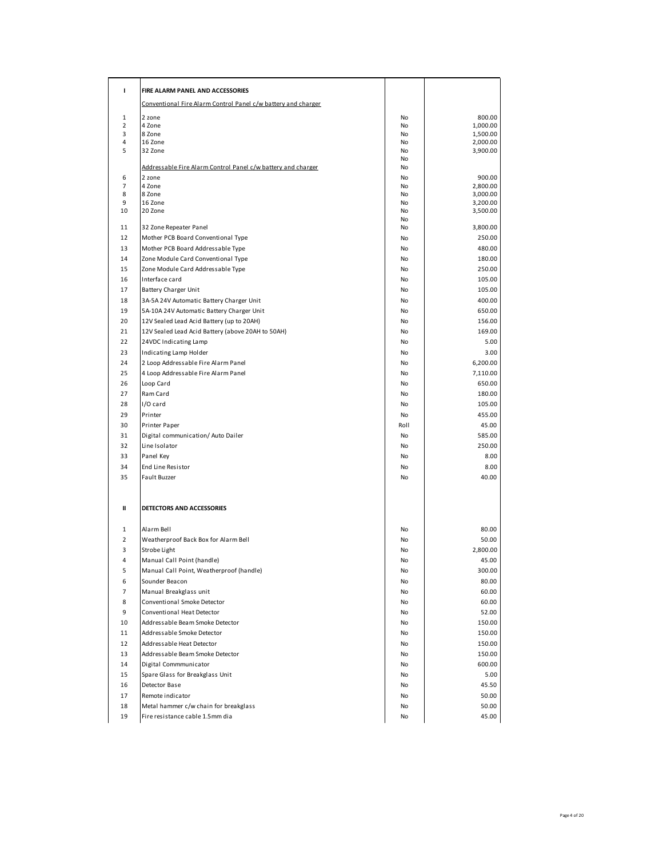| ı           | FIRE ALARM PANEL AND ACCESSORIES                              |           |                      |
|-------------|---------------------------------------------------------------|-----------|----------------------|
|             | Conventional Fire Alarm Control Panel c/w battery and charger |           |                      |
| $\mathbf 1$ | 2 zone                                                        | No        | 800.00               |
| 2           | 4 Zone                                                        | No        | 1,000.00             |
| 3           | 8 Zone                                                        | No        | 1,500.00             |
| 4<br>5      | 16 Zone<br>32 Zone                                            | No<br>No  | 2,000.00<br>3,900.00 |
|             |                                                               | No        |                      |
|             | Addressable Fire Alarm Control Panel c/w battery and charger  | No        |                      |
| 6           | 2 zone                                                        | No        | 900.00               |
| 7<br>8      | 4 Zone<br>8 Zone                                              | No<br>No  | 2,800.00<br>3,000.00 |
| 9           | 16 Zone                                                       | No        | 3,200.00             |
| 10          | 20 Zone                                                       | No        | 3,500.00             |
|             |                                                               | No        |                      |
| 11          | 32 Zone Repeater Panel                                        | No        | 3,800.00             |
| 12          | Mother PCB Board Conventional Type                            | No        | 250.00               |
| 13          | Mother PCB Board Addressable Type                             | <b>No</b> | 480.00               |
| 14          | Zone Module Card Conventional Type                            | No        | 180.00               |
| 15          | Zone Module Card Addressable Type                             | No        | 250.00               |
| 16          | Interface card                                                | No        | 105.00               |
| 17          | Battery Charger Unit                                          | No        | 105.00               |
| 18          | 3A-5A 24V Automatic Battery Charger Unit                      | <b>No</b> | 400.00               |
| 19          | 5A-10A 24V Automatic Battery Charger Unit                     | No        | 650.00               |
| 20          | 12V Sealed Lead Acid Battery (up to 20AH)                     | No        | 156.00               |
| 21          | 12V Sealed Lead Acid Battery (above 20AH to 50AH)             | No        | 169.00               |
| 22          | 24VDC Indicating Lamp                                         | No        | 5.00                 |
| 23          | Indicating Lamp Holder                                        | No        | 3.00                 |
| 24          | 2 Loop Addressable Fire Alarm Panel                           | No        | 6,200.00             |
| 25          | 4 Loop Addressable Fire Alarm Panel                           | No        | 7,110.00             |
| 26          | Loop Card                                                     | No        | 650.00               |
| 27          | Ram Card                                                      | No        | 180.00               |
| 28          | I/O card                                                      | <b>No</b> | 105.00               |
| 29          | Printer                                                       | No        | 455.00               |
| 30          | Printer Paper                                                 | Roll      | 45.00                |
| 31          | Digital communication/ Auto Dailer                            | No        | 585.00               |
| 32          | Line Isolator                                                 | No        | 250.00               |
| 33          | Panel Key                                                     | <b>No</b> | 8.00                 |
| 34          | End Line Resistor                                             | No        | 8.00                 |
| 35          | Fault Buzzer                                                  | No        | 40.00                |
|             |                                                               |           |                      |
| Ш           | DETECTORS AND ACCESSORIES                                     |           |                      |
| 1           | Alarm Bell                                                    | No        | 80.00                |
| 2           | Weatherproof Back Box for Alarm Bell                          | No        | 50.00                |
| 3           | Strobe Light                                                  | No        | 2,800.00             |
| 4           | Manual Call Point (handle)                                    | No        | 45.00                |
| 5           | Manual Call Point, Weatherproof (handle)                      | No        | 300.00               |
| 6           | Sounder Beacon                                                | No        | 80.00                |
| 7           | Manual Breakglass unit                                        | No        | 60.00                |
| 8           | Conventional Smoke Detector                                   | No        | 60.00                |
| 9           | Conventional Heat Detector                                    | No        | 52.00                |
| 10          | Addressable Beam Smoke Detector                               | No        | 150.00               |
| 11          | Addressable Smoke Detector                                    | No        | 150.00               |
| 12          | Addressable Heat Detector                                     | No        | 150.00               |
| 13          | Addressable Beam Smoke Detector                               | No        | 150.00               |
| 14          | Digital Commmunicator                                         | <b>No</b> | 600.00               |
| 15          | Spare Glass for Breakglass Unit                               | No        | 5.00                 |
| 16          | Detector Base                                                 | No        | 45.50                |
| 17          | Remote indicator                                              | No        | 50.00                |
| 18          | Metal hammer c/w chain for breakglass                         | No        | 50.00                |
| 19          | Fire resistance cable 1.5mm dia                               | No        | 45.00                |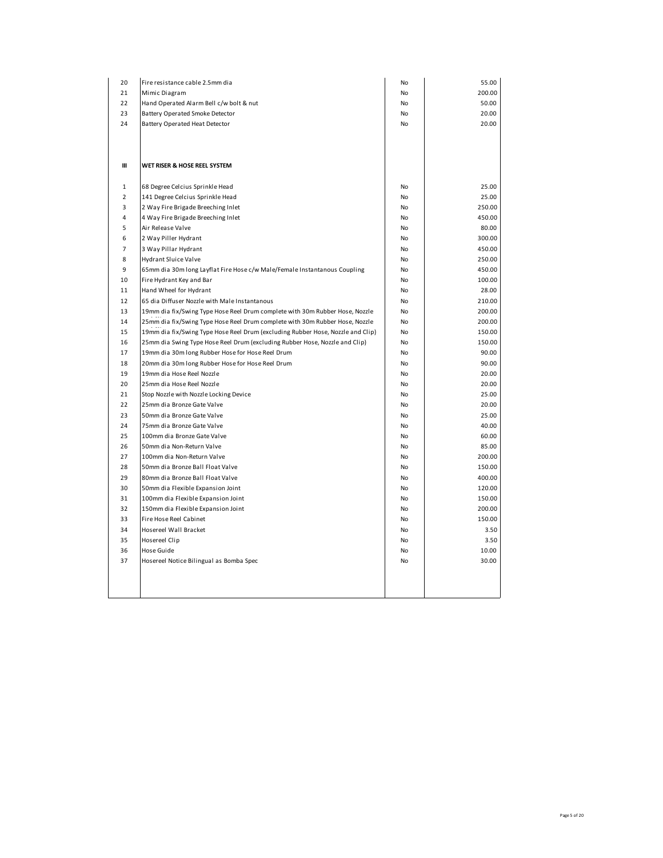| 200.00<br>21<br>Mimic Diagram<br>No<br>50.00<br>22<br>Hand Operated Alarm Bell c/w bolt & nut<br>No<br>23<br>Battery Operated Smoke Detector<br>20.00<br>No<br>24<br>20.00<br>Battery Operated Heat Detector<br>No<br>Ш<br>WET RISER & HOSE REEL SYSTEM<br>25.00<br>$\mathbf{1}$<br>68 Degree Celcius Sprinkle Head<br>No<br>$\overline{2}$<br>141 Degree Celcius Sprinkle Head<br>25.00<br><b>No</b><br>3<br>2 Way Fire Brigade Breeching Inlet<br>250.00<br>No<br>450.00<br>$\overline{4}$<br>4 Way Fire Brigade Breeching Inlet<br>No<br>5<br>80.00<br>Air Release Valve<br>No<br>300.00<br>2 Way Piller Hydrant<br>6<br>No<br>$\overline{7}$<br>3 Way Pillar Hydrant<br>450.00<br>No<br>8<br>Hydrant Sluice Valve<br>250.00<br>No<br>9<br>65mm dia 30m long Layflat Fire Hose c/w Male/Female Instantanous Coupling<br>450.00<br>No<br>10<br>Fire Hydrant Key and Bar<br>100.00<br>No<br>Hand Wheel for Hydrant<br>28.00<br>11<br>No<br>210.00<br>12<br>65 dia Diffuser Nozzle with Male Instantanous<br>No<br>13<br>19mm dia fix/Swing Type Hose Reel Drum complete with 30m Rubber Hose, Nozzle<br>No<br>200.00<br>200.00<br>14<br>25mm dia fix/Swing Type Hose Reel Drum complete with 30m Rubber Hose, Nozzle<br>No<br>15<br>19mm dia fix/Swing Type Hose Reel Drum (excluding Rubber Hose, Nozzle and Clip)<br>150.00<br>No<br>150.00<br>16<br>25mm dia Swing Type Hose Reel Drum (excluding Rubber Hose, Nozzle and Clip)<br>No<br>17<br>19mm dia 30m long Rubber Hose for Hose Reel Drum<br>90.00<br>No<br>90.00<br>18<br>20mm dia 30m long Rubber Hose for Hose Reel Drum<br>No<br>19<br>19mm dia Hose Reel Nozzle<br>20.00<br>No<br>20.00<br>20<br>25mm dia Hose Reel Nozzle<br>No<br>21<br>Stop Nozzle with Nozzle Locking Device<br>25.00<br>No<br>22<br>20.00<br>25mm dia Bronze Gate Valve<br>No<br>23<br>50mm dia Bronze Gate Valve<br>25.00<br>No<br>40.00<br>24<br>75mm dia Bronze Gate Valve<br>No<br>25<br>60.00<br>100mm dia Bronze Gate Valve<br>No<br>85.00<br>26<br>50mm dia Non-Return Valve<br>No<br>27<br>200.00<br>100mm dia Non-Return Valve<br>No<br>150.00<br>28<br>50mm dia Bronze Ball Float Valve<br>No<br>29<br>400.00<br>80mm dia Bronze Ball Float Valve<br>No<br>30<br>120.00<br>50mm dia Flexible Expansion Joint<br>No<br>150.00<br>31<br>100mm dia Flexible Expansion Joint<br>No<br>200.00<br>32<br>150mm dia Flexible Expansion Joint<br><b>No</b><br>150.00<br>33<br>Fire Hose Reel Cabinet<br>No<br>34<br>Hosereel Wall Bracket<br>3.50<br>No<br>35<br>Hosereel Clip<br>3.50<br>No<br>36<br>Hose Guide<br>10.00<br>No<br>30.00<br>37<br>Hosereel Notice Bilingual as Bomba Spec<br>No | 20 | Fire resistance cable 2.5mm dia | No | 55.00 |
|--------------------------------------------------------------------------------------------------------------------------------------------------------------------------------------------------------------------------------------------------------------------------------------------------------------------------------------------------------------------------------------------------------------------------------------------------------------------------------------------------------------------------------------------------------------------------------------------------------------------------------------------------------------------------------------------------------------------------------------------------------------------------------------------------------------------------------------------------------------------------------------------------------------------------------------------------------------------------------------------------------------------------------------------------------------------------------------------------------------------------------------------------------------------------------------------------------------------------------------------------------------------------------------------------------------------------------------------------------------------------------------------------------------------------------------------------------------------------------------------------------------------------------------------------------------------------------------------------------------------------------------------------------------------------------------------------------------------------------------------------------------------------------------------------------------------------------------------------------------------------------------------------------------------------------------------------------------------------------------------------------------------------------------------------------------------------------------------------------------------------------------------------------------------------------------------------------------------------------------------------------------------------------------------------------------------------------------------------------------------------------------------------------------------------------------------------------------------------------------------------------------------------------------------------------------------------------------------------------------------------------------|----|---------------------------------|----|-------|
|                                                                                                                                                                                                                                                                                                                                                                                                                                                                                                                                                                                                                                                                                                                                                                                                                                                                                                                                                                                                                                                                                                                                                                                                                                                                                                                                                                                                                                                                                                                                                                                                                                                                                                                                                                                                                                                                                                                                                                                                                                                                                                                                                                                                                                                                                                                                                                                                                                                                                                                                                                                                                                      |    |                                 |    |       |
|                                                                                                                                                                                                                                                                                                                                                                                                                                                                                                                                                                                                                                                                                                                                                                                                                                                                                                                                                                                                                                                                                                                                                                                                                                                                                                                                                                                                                                                                                                                                                                                                                                                                                                                                                                                                                                                                                                                                                                                                                                                                                                                                                                                                                                                                                                                                                                                                                                                                                                                                                                                                                                      |    |                                 |    |       |
|                                                                                                                                                                                                                                                                                                                                                                                                                                                                                                                                                                                                                                                                                                                                                                                                                                                                                                                                                                                                                                                                                                                                                                                                                                                                                                                                                                                                                                                                                                                                                                                                                                                                                                                                                                                                                                                                                                                                                                                                                                                                                                                                                                                                                                                                                                                                                                                                                                                                                                                                                                                                                                      |    |                                 |    |       |
|                                                                                                                                                                                                                                                                                                                                                                                                                                                                                                                                                                                                                                                                                                                                                                                                                                                                                                                                                                                                                                                                                                                                                                                                                                                                                                                                                                                                                                                                                                                                                                                                                                                                                                                                                                                                                                                                                                                                                                                                                                                                                                                                                                                                                                                                                                                                                                                                                                                                                                                                                                                                                                      |    |                                 |    |       |
|                                                                                                                                                                                                                                                                                                                                                                                                                                                                                                                                                                                                                                                                                                                                                                                                                                                                                                                                                                                                                                                                                                                                                                                                                                                                                                                                                                                                                                                                                                                                                                                                                                                                                                                                                                                                                                                                                                                                                                                                                                                                                                                                                                                                                                                                                                                                                                                                                                                                                                                                                                                                                                      |    |                                 |    |       |
|                                                                                                                                                                                                                                                                                                                                                                                                                                                                                                                                                                                                                                                                                                                                                                                                                                                                                                                                                                                                                                                                                                                                                                                                                                                                                                                                                                                                                                                                                                                                                                                                                                                                                                                                                                                                                                                                                                                                                                                                                                                                                                                                                                                                                                                                                                                                                                                                                                                                                                                                                                                                                                      |    |                                 |    |       |
|                                                                                                                                                                                                                                                                                                                                                                                                                                                                                                                                                                                                                                                                                                                                                                                                                                                                                                                                                                                                                                                                                                                                                                                                                                                                                                                                                                                                                                                                                                                                                                                                                                                                                                                                                                                                                                                                                                                                                                                                                                                                                                                                                                                                                                                                                                                                                                                                                                                                                                                                                                                                                                      |    |                                 |    |       |
|                                                                                                                                                                                                                                                                                                                                                                                                                                                                                                                                                                                                                                                                                                                                                                                                                                                                                                                                                                                                                                                                                                                                                                                                                                                                                                                                                                                                                                                                                                                                                                                                                                                                                                                                                                                                                                                                                                                                                                                                                                                                                                                                                                                                                                                                                                                                                                                                                                                                                                                                                                                                                                      |    |                                 |    |       |
|                                                                                                                                                                                                                                                                                                                                                                                                                                                                                                                                                                                                                                                                                                                                                                                                                                                                                                                                                                                                                                                                                                                                                                                                                                                                                                                                                                                                                                                                                                                                                                                                                                                                                                                                                                                                                                                                                                                                                                                                                                                                                                                                                                                                                                                                                                                                                                                                                                                                                                                                                                                                                                      |    |                                 |    |       |
|                                                                                                                                                                                                                                                                                                                                                                                                                                                                                                                                                                                                                                                                                                                                                                                                                                                                                                                                                                                                                                                                                                                                                                                                                                                                                                                                                                                                                                                                                                                                                                                                                                                                                                                                                                                                                                                                                                                                                                                                                                                                                                                                                                                                                                                                                                                                                                                                                                                                                                                                                                                                                                      |    |                                 |    |       |
|                                                                                                                                                                                                                                                                                                                                                                                                                                                                                                                                                                                                                                                                                                                                                                                                                                                                                                                                                                                                                                                                                                                                                                                                                                                                                                                                                                                                                                                                                                                                                                                                                                                                                                                                                                                                                                                                                                                                                                                                                                                                                                                                                                                                                                                                                                                                                                                                                                                                                                                                                                                                                                      |    |                                 |    |       |
|                                                                                                                                                                                                                                                                                                                                                                                                                                                                                                                                                                                                                                                                                                                                                                                                                                                                                                                                                                                                                                                                                                                                                                                                                                                                                                                                                                                                                                                                                                                                                                                                                                                                                                                                                                                                                                                                                                                                                                                                                                                                                                                                                                                                                                                                                                                                                                                                                                                                                                                                                                                                                                      |    |                                 |    |       |
|                                                                                                                                                                                                                                                                                                                                                                                                                                                                                                                                                                                                                                                                                                                                                                                                                                                                                                                                                                                                                                                                                                                                                                                                                                                                                                                                                                                                                                                                                                                                                                                                                                                                                                                                                                                                                                                                                                                                                                                                                                                                                                                                                                                                                                                                                                                                                                                                                                                                                                                                                                                                                                      |    |                                 |    |       |
|                                                                                                                                                                                                                                                                                                                                                                                                                                                                                                                                                                                                                                                                                                                                                                                                                                                                                                                                                                                                                                                                                                                                                                                                                                                                                                                                                                                                                                                                                                                                                                                                                                                                                                                                                                                                                                                                                                                                                                                                                                                                                                                                                                                                                                                                                                                                                                                                                                                                                                                                                                                                                                      |    |                                 |    |       |
|                                                                                                                                                                                                                                                                                                                                                                                                                                                                                                                                                                                                                                                                                                                                                                                                                                                                                                                                                                                                                                                                                                                                                                                                                                                                                                                                                                                                                                                                                                                                                                                                                                                                                                                                                                                                                                                                                                                                                                                                                                                                                                                                                                                                                                                                                                                                                                                                                                                                                                                                                                                                                                      |    |                                 |    |       |
|                                                                                                                                                                                                                                                                                                                                                                                                                                                                                                                                                                                                                                                                                                                                                                                                                                                                                                                                                                                                                                                                                                                                                                                                                                                                                                                                                                                                                                                                                                                                                                                                                                                                                                                                                                                                                                                                                                                                                                                                                                                                                                                                                                                                                                                                                                                                                                                                                                                                                                                                                                                                                                      |    |                                 |    |       |
|                                                                                                                                                                                                                                                                                                                                                                                                                                                                                                                                                                                                                                                                                                                                                                                                                                                                                                                                                                                                                                                                                                                                                                                                                                                                                                                                                                                                                                                                                                                                                                                                                                                                                                                                                                                                                                                                                                                                                                                                                                                                                                                                                                                                                                                                                                                                                                                                                                                                                                                                                                                                                                      |    |                                 |    |       |
|                                                                                                                                                                                                                                                                                                                                                                                                                                                                                                                                                                                                                                                                                                                                                                                                                                                                                                                                                                                                                                                                                                                                                                                                                                                                                                                                                                                                                                                                                                                                                                                                                                                                                                                                                                                                                                                                                                                                                                                                                                                                                                                                                                                                                                                                                                                                                                                                                                                                                                                                                                                                                                      |    |                                 |    |       |
|                                                                                                                                                                                                                                                                                                                                                                                                                                                                                                                                                                                                                                                                                                                                                                                                                                                                                                                                                                                                                                                                                                                                                                                                                                                                                                                                                                                                                                                                                                                                                                                                                                                                                                                                                                                                                                                                                                                                                                                                                                                                                                                                                                                                                                                                                                                                                                                                                                                                                                                                                                                                                                      |    |                                 |    |       |
|                                                                                                                                                                                                                                                                                                                                                                                                                                                                                                                                                                                                                                                                                                                                                                                                                                                                                                                                                                                                                                                                                                                                                                                                                                                                                                                                                                                                                                                                                                                                                                                                                                                                                                                                                                                                                                                                                                                                                                                                                                                                                                                                                                                                                                                                                                                                                                                                                                                                                                                                                                                                                                      |    |                                 |    |       |
|                                                                                                                                                                                                                                                                                                                                                                                                                                                                                                                                                                                                                                                                                                                                                                                                                                                                                                                                                                                                                                                                                                                                                                                                                                                                                                                                                                                                                                                                                                                                                                                                                                                                                                                                                                                                                                                                                                                                                                                                                                                                                                                                                                                                                                                                                                                                                                                                                                                                                                                                                                                                                                      |    |                                 |    |       |
|                                                                                                                                                                                                                                                                                                                                                                                                                                                                                                                                                                                                                                                                                                                                                                                                                                                                                                                                                                                                                                                                                                                                                                                                                                                                                                                                                                                                                                                                                                                                                                                                                                                                                                                                                                                                                                                                                                                                                                                                                                                                                                                                                                                                                                                                                                                                                                                                                                                                                                                                                                                                                                      |    |                                 |    |       |
|                                                                                                                                                                                                                                                                                                                                                                                                                                                                                                                                                                                                                                                                                                                                                                                                                                                                                                                                                                                                                                                                                                                                                                                                                                                                                                                                                                                                                                                                                                                                                                                                                                                                                                                                                                                                                                                                                                                                                                                                                                                                                                                                                                                                                                                                                                                                                                                                                                                                                                                                                                                                                                      |    |                                 |    |       |
|                                                                                                                                                                                                                                                                                                                                                                                                                                                                                                                                                                                                                                                                                                                                                                                                                                                                                                                                                                                                                                                                                                                                                                                                                                                                                                                                                                                                                                                                                                                                                                                                                                                                                                                                                                                                                                                                                                                                                                                                                                                                                                                                                                                                                                                                                                                                                                                                                                                                                                                                                                                                                                      |    |                                 |    |       |
|                                                                                                                                                                                                                                                                                                                                                                                                                                                                                                                                                                                                                                                                                                                                                                                                                                                                                                                                                                                                                                                                                                                                                                                                                                                                                                                                                                                                                                                                                                                                                                                                                                                                                                                                                                                                                                                                                                                                                                                                                                                                                                                                                                                                                                                                                                                                                                                                                                                                                                                                                                                                                                      |    |                                 |    |       |
|                                                                                                                                                                                                                                                                                                                                                                                                                                                                                                                                                                                                                                                                                                                                                                                                                                                                                                                                                                                                                                                                                                                                                                                                                                                                                                                                                                                                                                                                                                                                                                                                                                                                                                                                                                                                                                                                                                                                                                                                                                                                                                                                                                                                                                                                                                                                                                                                                                                                                                                                                                                                                                      |    |                                 |    |       |
|                                                                                                                                                                                                                                                                                                                                                                                                                                                                                                                                                                                                                                                                                                                                                                                                                                                                                                                                                                                                                                                                                                                                                                                                                                                                                                                                                                                                                                                                                                                                                                                                                                                                                                                                                                                                                                                                                                                                                                                                                                                                                                                                                                                                                                                                                                                                                                                                                                                                                                                                                                                                                                      |    |                                 |    |       |
|                                                                                                                                                                                                                                                                                                                                                                                                                                                                                                                                                                                                                                                                                                                                                                                                                                                                                                                                                                                                                                                                                                                                                                                                                                                                                                                                                                                                                                                                                                                                                                                                                                                                                                                                                                                                                                                                                                                                                                                                                                                                                                                                                                                                                                                                                                                                                                                                                                                                                                                                                                                                                                      |    |                                 |    |       |
|                                                                                                                                                                                                                                                                                                                                                                                                                                                                                                                                                                                                                                                                                                                                                                                                                                                                                                                                                                                                                                                                                                                                                                                                                                                                                                                                                                                                                                                                                                                                                                                                                                                                                                                                                                                                                                                                                                                                                                                                                                                                                                                                                                                                                                                                                                                                                                                                                                                                                                                                                                                                                                      |    |                                 |    |       |
|                                                                                                                                                                                                                                                                                                                                                                                                                                                                                                                                                                                                                                                                                                                                                                                                                                                                                                                                                                                                                                                                                                                                                                                                                                                                                                                                                                                                                                                                                                                                                                                                                                                                                                                                                                                                                                                                                                                                                                                                                                                                                                                                                                                                                                                                                                                                                                                                                                                                                                                                                                                                                                      |    |                                 |    |       |
|                                                                                                                                                                                                                                                                                                                                                                                                                                                                                                                                                                                                                                                                                                                                                                                                                                                                                                                                                                                                                                                                                                                                                                                                                                                                                                                                                                                                                                                                                                                                                                                                                                                                                                                                                                                                                                                                                                                                                                                                                                                                                                                                                                                                                                                                                                                                                                                                                                                                                                                                                                                                                                      |    |                                 |    |       |
|                                                                                                                                                                                                                                                                                                                                                                                                                                                                                                                                                                                                                                                                                                                                                                                                                                                                                                                                                                                                                                                                                                                                                                                                                                                                                                                                                                                                                                                                                                                                                                                                                                                                                                                                                                                                                                                                                                                                                                                                                                                                                                                                                                                                                                                                                                                                                                                                                                                                                                                                                                                                                                      |    |                                 |    |       |
|                                                                                                                                                                                                                                                                                                                                                                                                                                                                                                                                                                                                                                                                                                                                                                                                                                                                                                                                                                                                                                                                                                                                                                                                                                                                                                                                                                                                                                                                                                                                                                                                                                                                                                                                                                                                                                                                                                                                                                                                                                                                                                                                                                                                                                                                                                                                                                                                                                                                                                                                                                                                                                      |    |                                 |    |       |
|                                                                                                                                                                                                                                                                                                                                                                                                                                                                                                                                                                                                                                                                                                                                                                                                                                                                                                                                                                                                                                                                                                                                                                                                                                                                                                                                                                                                                                                                                                                                                                                                                                                                                                                                                                                                                                                                                                                                                                                                                                                                                                                                                                                                                                                                                                                                                                                                                                                                                                                                                                                                                                      |    |                                 |    |       |
|                                                                                                                                                                                                                                                                                                                                                                                                                                                                                                                                                                                                                                                                                                                                                                                                                                                                                                                                                                                                                                                                                                                                                                                                                                                                                                                                                                                                                                                                                                                                                                                                                                                                                                                                                                                                                                                                                                                                                                                                                                                                                                                                                                                                                                                                                                                                                                                                                                                                                                                                                                                                                                      |    |                                 |    |       |
|                                                                                                                                                                                                                                                                                                                                                                                                                                                                                                                                                                                                                                                                                                                                                                                                                                                                                                                                                                                                                                                                                                                                                                                                                                                                                                                                                                                                                                                                                                                                                                                                                                                                                                                                                                                                                                                                                                                                                                                                                                                                                                                                                                                                                                                                                                                                                                                                                                                                                                                                                                                                                                      |    |                                 |    |       |
|                                                                                                                                                                                                                                                                                                                                                                                                                                                                                                                                                                                                                                                                                                                                                                                                                                                                                                                                                                                                                                                                                                                                                                                                                                                                                                                                                                                                                                                                                                                                                                                                                                                                                                                                                                                                                                                                                                                                                                                                                                                                                                                                                                                                                                                                                                                                                                                                                                                                                                                                                                                                                                      |    |                                 |    |       |
|                                                                                                                                                                                                                                                                                                                                                                                                                                                                                                                                                                                                                                                                                                                                                                                                                                                                                                                                                                                                                                                                                                                                                                                                                                                                                                                                                                                                                                                                                                                                                                                                                                                                                                                                                                                                                                                                                                                                                                                                                                                                                                                                                                                                                                                                                                                                                                                                                                                                                                                                                                                                                                      |    |                                 |    |       |
|                                                                                                                                                                                                                                                                                                                                                                                                                                                                                                                                                                                                                                                                                                                                                                                                                                                                                                                                                                                                                                                                                                                                                                                                                                                                                                                                                                                                                                                                                                                                                                                                                                                                                                                                                                                                                                                                                                                                                                                                                                                                                                                                                                                                                                                                                                                                                                                                                                                                                                                                                                                                                                      |    |                                 |    |       |
|                                                                                                                                                                                                                                                                                                                                                                                                                                                                                                                                                                                                                                                                                                                                                                                                                                                                                                                                                                                                                                                                                                                                                                                                                                                                                                                                                                                                                                                                                                                                                                                                                                                                                                                                                                                                                                                                                                                                                                                                                                                                                                                                                                                                                                                                                                                                                                                                                                                                                                                                                                                                                                      |    |                                 |    |       |
|                                                                                                                                                                                                                                                                                                                                                                                                                                                                                                                                                                                                                                                                                                                                                                                                                                                                                                                                                                                                                                                                                                                                                                                                                                                                                                                                                                                                                                                                                                                                                                                                                                                                                                                                                                                                                                                                                                                                                                                                                                                                                                                                                                                                                                                                                                                                                                                                                                                                                                                                                                                                                                      |    |                                 |    |       |
|                                                                                                                                                                                                                                                                                                                                                                                                                                                                                                                                                                                                                                                                                                                                                                                                                                                                                                                                                                                                                                                                                                                                                                                                                                                                                                                                                                                                                                                                                                                                                                                                                                                                                                                                                                                                                                                                                                                                                                                                                                                                                                                                                                                                                                                                                                                                                                                                                                                                                                                                                                                                                                      |    |                                 |    |       |
|                                                                                                                                                                                                                                                                                                                                                                                                                                                                                                                                                                                                                                                                                                                                                                                                                                                                                                                                                                                                                                                                                                                                                                                                                                                                                                                                                                                                                                                                                                                                                                                                                                                                                                                                                                                                                                                                                                                                                                                                                                                                                                                                                                                                                                                                                                                                                                                                                                                                                                                                                                                                                                      |    |                                 |    |       |
|                                                                                                                                                                                                                                                                                                                                                                                                                                                                                                                                                                                                                                                                                                                                                                                                                                                                                                                                                                                                                                                                                                                                                                                                                                                                                                                                                                                                                                                                                                                                                                                                                                                                                                                                                                                                                                                                                                                                                                                                                                                                                                                                                                                                                                                                                                                                                                                                                                                                                                                                                                                                                                      |    |                                 |    |       |
|                                                                                                                                                                                                                                                                                                                                                                                                                                                                                                                                                                                                                                                                                                                                                                                                                                                                                                                                                                                                                                                                                                                                                                                                                                                                                                                                                                                                                                                                                                                                                                                                                                                                                                                                                                                                                                                                                                                                                                                                                                                                                                                                                                                                                                                                                                                                                                                                                                                                                                                                                                                                                                      |    |                                 |    |       |
|                                                                                                                                                                                                                                                                                                                                                                                                                                                                                                                                                                                                                                                                                                                                                                                                                                                                                                                                                                                                                                                                                                                                                                                                                                                                                                                                                                                                                                                                                                                                                                                                                                                                                                                                                                                                                                                                                                                                                                                                                                                                                                                                                                                                                                                                                                                                                                                                                                                                                                                                                                                                                                      |    |                                 |    |       |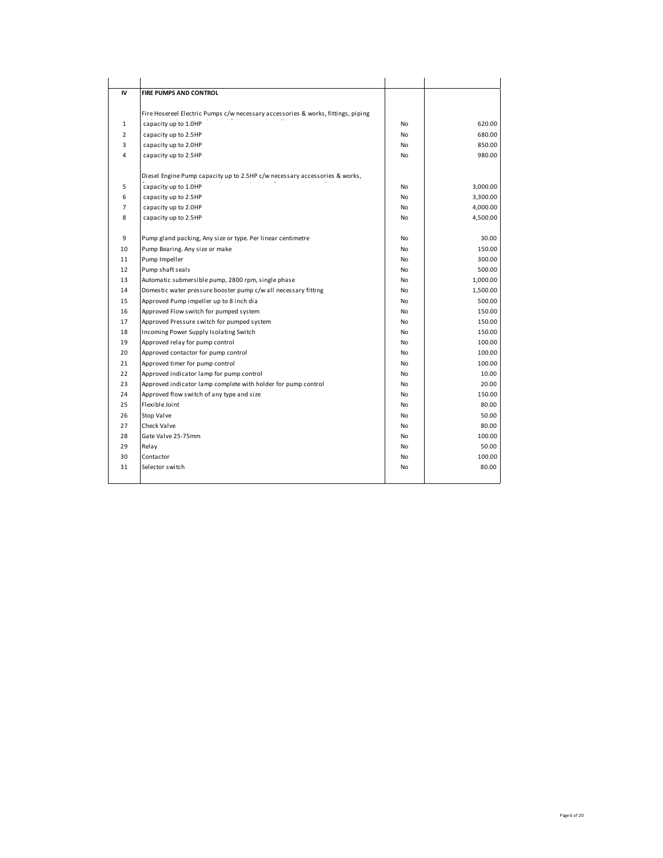| IV             | FIRE PUMPS AND CONTROL                                                           |           |          |
|----------------|----------------------------------------------------------------------------------|-----------|----------|
|                |                                                                                  |           |          |
|                | Fire Hosereel Electric Pumps c/w necessary accessories & works, fittings, piping |           |          |
| $\mathbf{1}$   | capacity up to 1.0HP                                                             | No        | 620.00   |
| $\overline{2}$ | capacity up to 2.5HP                                                             | No        | 680.00   |
| 3              | capacity up to 2.0HP                                                             | No        | 850.00   |
| 4              | capacity up to 2.5HP                                                             | No        | 980.00   |
|                | Diesel Engine Pump capacity up to 2.5HP c/w necessary accessories & works,       |           |          |
| 5              | capacity up to 1.0HP                                                             | No        | 3,000.00 |
| 6              | capacity up to 2.5HP                                                             | No        | 3,300.00 |
| $\overline{7}$ | capacity up to 2.0HP                                                             | No        | 4,000.00 |
| 8              | capacity up to 2.5HP                                                             | No        | 4,500.00 |
|                |                                                                                  |           |          |
| 9              | Pump gland packing, Any size or type. Per linear centimetre                      | No        | 30.00    |
| 10             | Pump Bearing. Any size or make                                                   | <b>No</b> | 150.00   |
| 11             | Pump Impeller                                                                    | <b>No</b> | 300.00   |
| 12             | Pump shaft seals                                                                 | No        | 500.00   |
| 13             | Automatic submersible pump, 2800 rpm, single phase                               | <b>No</b> | 1,000.00 |
| 14             | Domestic water pressure booster pump c/w all necessary fitting                   | No        | 1,500.00 |
| 15             | Approved Pump impeller up to 8 inch dia                                          | <b>No</b> | 500.00   |
| 16             | Approved Flow switch for pumped system                                           | <b>No</b> | 150.00   |
| 17             | Approved Pressure switch for pumped system                                       | No        | 150.00   |
| 18             | Incoming Power Supply Isolating Switch                                           | No        | 150.00   |
| 19             | Approved relay for pump control                                                  | No        | 100.00   |
| 20             | Approved contactor for pump control                                              | No        | 100.00   |
| 21             | Approved timer for pump control                                                  | No        | 100.00   |
| 22             | Approved indicator lamp for pump control                                         | No        | 10.00    |
| 23             | Approved indicator lamp complete with holder for pump control                    | No        | 20.00    |
| 24             | Approved flow switch of any type and size                                        | No        | 150.00   |
| 25             | Flexible Joint                                                                   | <b>No</b> | 80.00    |
| 26             | Stop Valve                                                                       | No        | 50.00    |
| 27             | Check Valve                                                                      | <b>No</b> | 80.00    |
| 28             | Gate Valve 25-75mm                                                               | No        | 100.00   |
| 29             | Relay                                                                            | No        | 50.00    |
| 30             | Contactor                                                                        | No        | 100.00   |
| 31             | Selector switch                                                                  | No        | 80.00    |
|                |                                                                                  |           |          |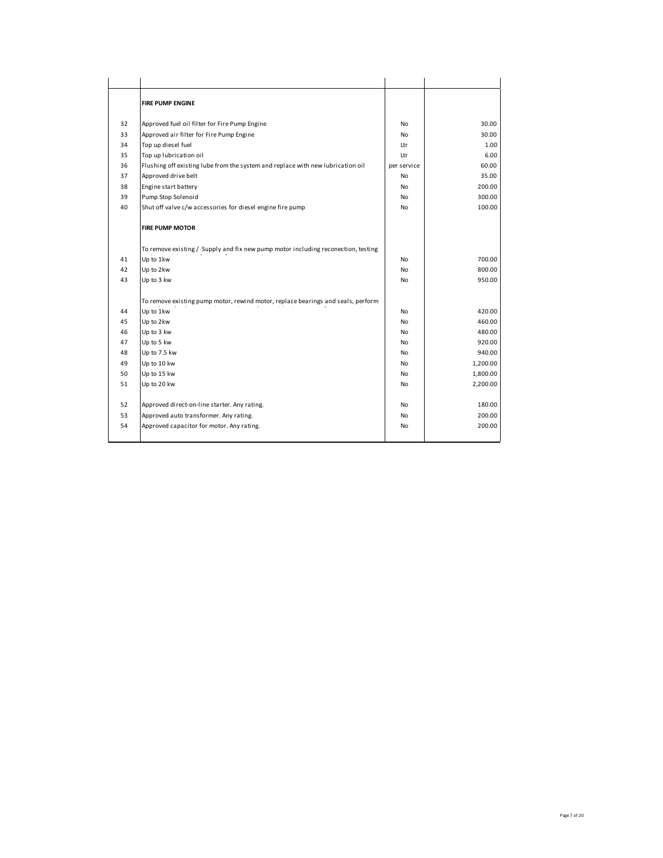|    | <b>FIRE PUMP ENGINE</b>                                                           |             |          |
|----|-----------------------------------------------------------------------------------|-------------|----------|
|    |                                                                                   |             |          |
| 32 | Approved fuel oil filter for Fire Pump Engine                                     | No          | 30.00    |
| 33 | Approved air filter for Fire Pump Engine                                          | No          | 30.00    |
| 34 | Top up diesel fuel                                                                | Ltr         | 1.00     |
| 35 | Top up lubrication oil                                                            | Ltr         | 6.00     |
| 36 | Flushing off existing lube from the system and replace with new lubrication oil   | per service | 60.00    |
| 37 | Approved drive belt                                                               | No          | 35.00    |
| 38 | Engine start battery                                                              | No          | 200.00   |
| 39 | Pump Stop Solenoid                                                                | No          | 300.00   |
| 40 | Shut off valve c/w accessories for diesel engine fire pump                        | No          | 100.00   |
|    | <b>FIRE PUMP MOTOR</b>                                                            |             |          |
|    | To remove existing / Supply and fix new pump motor including reconection, testing |             |          |
| 41 | Up to 1kw                                                                         | No          | 700.00   |
| 42 | Up to 2kw                                                                         | No          | 800.00   |
| 43 | Up to 3 kw                                                                        | No          | 950.00   |
|    | To remove existing pump motor, rewind motor, replace bearings and seals, perform  |             |          |
| 44 | Up to 1kw                                                                         | No          | 420.00   |
| 45 | Up to 2kw                                                                         | No          | 460.00   |
| 46 | Up to 3 kw                                                                        | No          | 480.00   |
| 47 | Up to 5 kw                                                                        | No          | 920.00   |
| 48 | Up to 7.5 kw                                                                      | No          | 940.00   |
| 49 | Up to 10 kw                                                                       | No          | 1,200.00 |
| 50 | Up to 15 kw                                                                       | No          | 1,800.00 |
| 51 | Up to 20 kw                                                                       | No          | 2,200.00 |
| 52 | Approved direct-on-line starter. Any rating.                                      | No          | 180.00   |
| 53 | Approved auto transformer. Any rating.                                            | No          | 200.00   |
| 54 | Approved capacitor for motor. Any rating.                                         | No          | 200.00   |
|    |                                                                                   |             |          |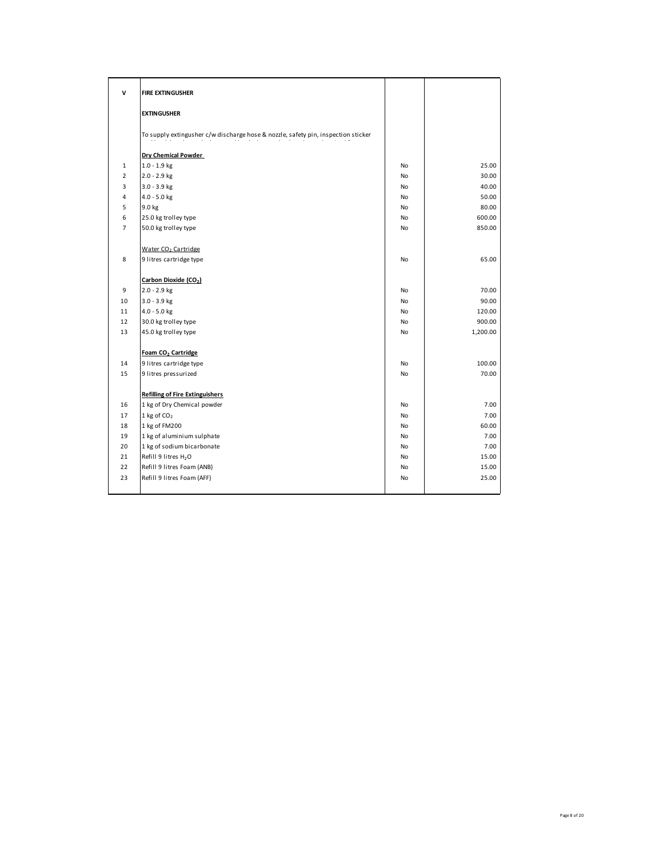| v              | <b>FIRE EXTINGUSHER</b>                                                           |           |          |
|----------------|-----------------------------------------------------------------------------------|-----------|----------|
|                | <b>EXTINGUSHER</b>                                                                |           |          |
|                | To supply extingusher c/w discharge hose & nozzle, safety pin, inspection sticker |           |          |
|                | Dry Chemical Powder                                                               |           |          |
| 1              | $1.0 - 1.9$ kg                                                                    | No        | 25.00    |
| $\overline{2}$ | $2.0 - 2.9$ kg                                                                    | No        | 30.00    |
| 3              | $3.0 - 3.9$ kg                                                                    | No        | 40.00    |
| 4              | $4.0 - 5.0$ kg                                                                    | <b>No</b> | 50.00    |
| 5              | 9.0 kg                                                                            | No        | 80.00    |
| 6              | 25.0 kg trolley type                                                              | No        | 600.00   |
| $\overline{7}$ | 50.0 kg trolley type                                                              | No        | 850.00   |
|                | Water CO <sub>2</sub> Cartridge                                                   |           |          |
| 8              | 9 litres cartridge type                                                           | No        | 65.00    |
|                | Carbon Dioxide (CO <sub>2</sub> )                                                 |           |          |
| 9              | $2.0 - 2.9$ kg                                                                    | No        | 70.00    |
| 10             | $3.0 - 3.9$ kg                                                                    | No        | 90.00    |
| 11             | $4.0 - 5.0$ kg                                                                    | No        | 120.00   |
| 12             | 30.0 kg trolley type                                                              | No        | 900.00   |
| 13             | 45.0 kg trolley type                                                              | No        | 1,200.00 |
|                | Foam CO <sub>2</sub> Cartridge                                                    |           |          |
| 14             | 9 litres cartridge type                                                           | No        | 100.00   |
| 15             | 9 litres pressurized                                                              | No        | 70.00    |
|                | <b>Refilling of Fire Extinguishers</b>                                            |           |          |
| 16             | 1 kg of Dry Chemical powder                                                       | No        | 7.00     |
| 17             | $1$ kg of $CO2$                                                                   | No        | 7.00     |
| 18             | 1 kg of FM200                                                                     | No        | 60.00    |
| 19             | 1 kg of aluminium sulphate                                                        | No        | 7.00     |
| 20             | 1 kg of sodium bicarbonate                                                        | No        | 7.00     |
| 21             | Refill 9 litres H <sub>2</sub> O                                                  | No        | 15.00    |
| 22             | Refill 9 litres Foam (ANB)                                                        | No        | 15.00    |
| 23             | Refill 9 litres Foam (AFF)                                                        | No        | 25.00    |
|                |                                                                                   |           |          |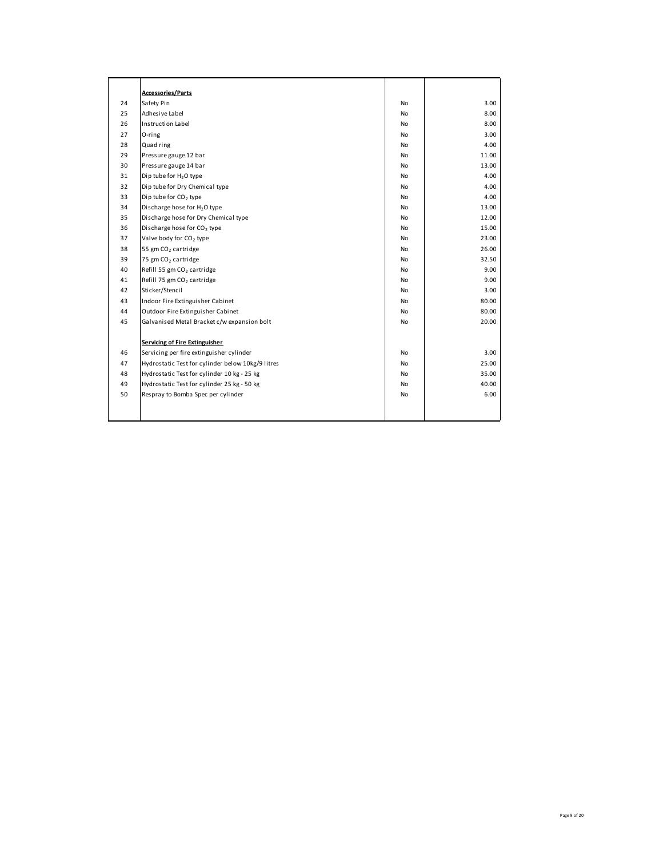|    | <b>Accessories/Parts</b>                          |           |       |
|----|---------------------------------------------------|-----------|-------|
| 24 | Safety Pin                                        | No        | 3.00  |
| 25 | Adhesive Label                                    | No        | 8.00  |
| 26 | Instruction Label                                 | No        | 8.00  |
| 27 | O-ring                                            | No        | 3.00  |
| 28 | Quad ring                                         | No        | 4.00  |
| 29 | Pressure gauge 12 bar                             | No        | 11.00 |
| 30 | Pressure gauge 14 bar                             | No        | 13.00 |
| 31 | Dip tube for H <sub>2</sub> O type                | No        | 4.00  |
| 32 | Dip tube for Dry Chemical type                    | No        | 4.00  |
| 33 | Dip tube for CO <sub>2</sub> type                 | No        | 4.00  |
| 34 | Discharge hose for H <sub>2</sub> O type          | <b>No</b> | 13.00 |
| 35 | Discharge hose for Dry Chemical type              | No        | 12.00 |
| 36 | Discharge hose for CO <sub>2</sub> type           | No        | 15.00 |
| 37 | Valve body for CO <sub>2</sub> type               | No        | 23.00 |
| 38 | 55 gm CO <sub>2</sub> cartridge                   | No        | 26.00 |
| 39 | 75 gm CO <sub>2</sub> cartridge                   | No        | 32.50 |
| 40 | Refill 55 gm CO <sub>2</sub> cartridge            | No        | 9.00  |
| 41 | Refill 75 gm CO <sub>2</sub> cartridge            | <b>No</b> | 9.00  |
| 42 | Sticker/Stencil                                   | No        | 3.00  |
| 43 | Indoor Fire Extinguisher Cabinet                  | No        | 80.00 |
| 44 | Outdoor Fire Extinguisher Cabinet                 | No        | 80.00 |
| 45 | Galvanised Metal Bracket c/w expansion bolt       | No        | 20.00 |
|    |                                                   |           |       |
|    | Servicing of Fire Extinguisher                    |           |       |
| 46 | Servicing per fire extinguisher cylinder          | No        | 3.00  |
| 47 | Hydrostatic Test for cylinder below 10kg/9 litres | No        | 25.00 |
| 48 | Hydrostatic Test for cylinder 10 kg - 25 kg       | No        | 35.00 |
| 49 | Hydrostatic Test for cylinder 25 kg - 50 kg       | No        | 40.00 |
| 50 | Respray to Bomba Spec per cylinder                | No        | 6.00  |
|    |                                                   |           |       |
|    |                                                   |           |       |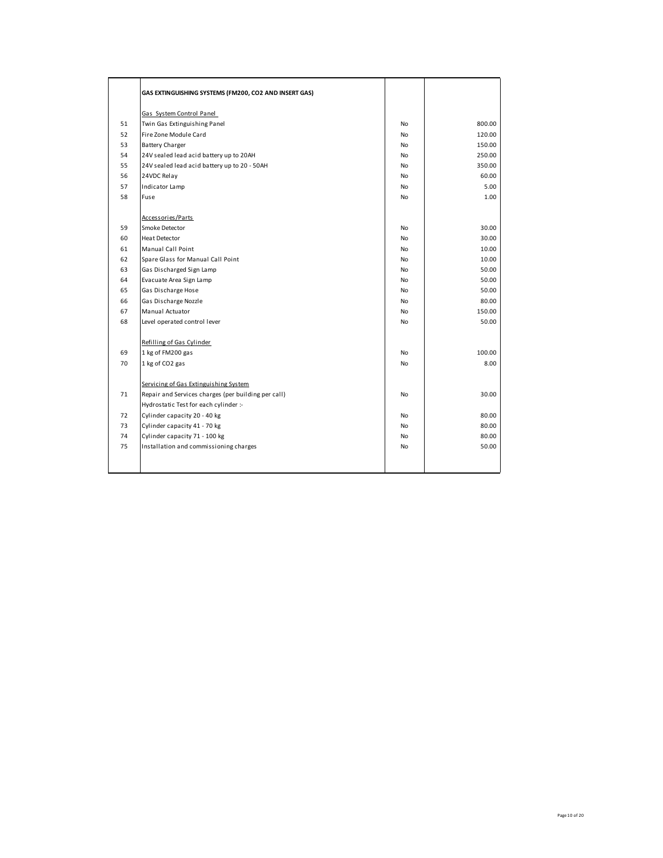|    | GAS EXTINGUISHING SYSTEMS (FM200, CO2 AND INSERT GAS) |           |        |
|----|-------------------------------------------------------|-----------|--------|
|    | Gas System Control Panel                              |           |        |
| 51 | Twin Gas Extinguishing Panel                          | No        | 800.00 |
| 52 | Fire Zone Module Card                                 | No        | 120.00 |
| 53 | <b>Battery Charger</b>                                | No        | 150.00 |
| 54 | 24V sealed lead acid battery up to 20AH               | <b>No</b> | 250.00 |
| 55 | 24V sealed lead acid battery up to 20 - 50AH          | <b>No</b> | 350.00 |
| 56 | 24VDC Relay                                           | <b>No</b> | 60.00  |
| 57 | Indicator Lamp                                        | No        | 5.00   |
| 58 | Fuse                                                  | No        | 1.00   |
|    | Accessories/Parts                                     |           |        |
| 59 | Smoke Detector                                        | No        | 30.00  |
| 60 | <b>Heat Detector</b>                                  | <b>No</b> | 30.00  |
| 61 | Manual Call Point                                     | <b>No</b> | 10.00  |
| 62 | Spare Glass for Manual Call Point                     | <b>No</b> | 10.00  |
| 63 | Gas Discharged Sign Lamp                              | <b>No</b> | 50.00  |
| 64 | Evacuate Area Sign Lamp                               | No        | 50.00  |
| 65 | Gas Discharge Hose                                    | No        | 50.00  |
| 66 | Gas Discharge Nozzle                                  | No        | 80.00  |
| 67 | Manual Actuator                                       | No        | 150.00 |
| 68 | Level operated control lever                          | <b>No</b> | 50.00  |
|    | Refilling of Gas Cylinder                             |           |        |
| 69 | 1 kg of FM200 gas                                     | No        | 100.00 |
| 70 | 1 kg of CO2 gas                                       | No        | 8.00   |
|    | Servicing of Gas Extinguishing System                 |           |        |
| 71 | Repair and Services charges (per building per call)   | No        | 30.00  |
|    | Hydrostatic Test for each cylinder :-                 |           |        |
| 72 | Cylinder capacity 20 - 40 kg                          | <b>No</b> | 80.00  |
| 73 | Cylinder capacity 41 - 70 kg                          | <b>No</b> | 80.00  |
| 74 | Cylinder capacity 71 - 100 kg                         | No        | 80.00  |
| 75 | Installation and commissioning charges                | No        | 50.00  |
|    |                                                       |           |        |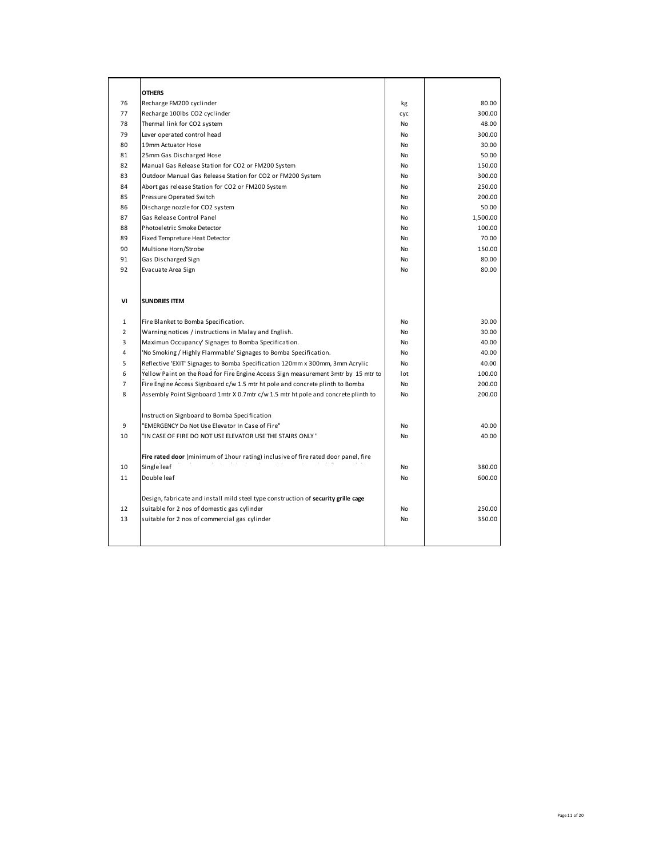|                | <b>OTHERS</b>                                                                       |           |          |
|----------------|-------------------------------------------------------------------------------------|-----------|----------|
| 76             | Recharge FM200 cyclinder                                                            | kg        | 80.00    |
| 77             | Recharge 100lbs CO2 cyclinder                                                       | cyc       | 300.00   |
| 78             | Thermal link for CO2 system                                                         | <b>No</b> | 48.00    |
| 79             | Lever operated control head                                                         | <b>No</b> | 300.00   |
| 80             | 19mm Actuator Hose                                                                  | <b>No</b> | 30.00    |
| 81             | 25mm Gas Discharged Hose                                                            | <b>No</b> | 50.00    |
| 82             | Manual Gas Release Station for CO2 or FM200 System                                  | No        | 150.00   |
| 83             | Outdoor Manual Gas Release Station for CO2 or FM200 System                          | No        | 300.00   |
| 84             | Abort gas release Station for CO2 or FM200 System                                   | <b>No</b> | 250.00   |
| 85             | Pressure Operated Switch                                                            | No        | 200.00   |
| 86             | Discharge nozzle for CO2 system                                                     | No        | 50.00    |
| 87             | Gas Release Control Panel                                                           | No        | 1,500.00 |
| 88             | Photoeletric Smoke Detector                                                         | <b>No</b> | 100.00   |
| 89             | <b>Fixed Tempreture Heat Detector</b>                                               | <b>No</b> | 70.00    |
| 90             | Multione Horn/Strobe                                                                | <b>No</b> | 150.00   |
| 91             | Gas Discharged Sign                                                                 | <b>No</b> | 80.00    |
| 92             | Evacuate Area Sign                                                                  | No        | 80.00    |
|                |                                                                                     |           |          |
| ٧I             | <b>SUNDRIES ITEM</b>                                                                |           |          |
| $\mathbf{1}$   | Fire Blanket to Bomba Specification.                                                | No        | 30.00    |
| $\overline{2}$ | Warning notices / instructions in Malay and English.                                | No        | 30.00    |
| 3              | Maximun Occupancy' Signages to Bomba Specification.                                 | <b>No</b> | 40.00    |
| 4              | 'No Smoking / Highly Flammable' Signages to Bomba Specification.                    | <b>No</b> | 40.00    |
| 5              | Reflective 'EXIT' Signages to Bomba Specification 120mm x 300mm, 3mm Acrylic        | No        | 40.00    |
| 6              | Yellow Paint on the Road for Fire Engine Access Sign measurement 3mtr by 15 mtr to  | lot       | 100.00   |
| $\overline{7}$ | Fire Engine Access Signboard c/w 1.5 mtr ht pole and concrete plinth to Bomba       | No        | 200.00   |
| 8              | Assembly Point Signboard 1mtr X 0.7mtr c/w 1.5 mtr ht pole and concrete plinth to   | No        | 200.00   |
|                |                                                                                     |           |          |
|                | Instruction Signboard to Bomba Specification                                        |           |          |
| 9              | "EMERGENCY Do Not Use Elevator In Case of Fire"                                     | No        | 40.00    |
| 10             | "IN CASE OF FIRE DO NOT USE ELEVATOR USE THE STAIRS ONLY "                          | No        | 40.00    |
|                |                                                                                     |           |          |
|                | Fire rated door (minimum of 1 hour rating) inclusive of fire rated door panel, fire |           |          |
| 10             | Single leaf                                                                         | <b>No</b> | 380.00   |
| 11             | Double leaf                                                                         | <b>No</b> | 600.00   |
|                |                                                                                     |           |          |
|                | Design, fabricate and install mild steel type construction of security grille cage  |           |          |
| 12             | suitable for 2 nos of domestic gas cylinder                                         | No        | 250.00   |
| 13             | suitable for 2 nos of commercial gas cylinder                                       | No        | 350.00   |
|                |                                                                                     |           |          |
|                |                                                                                     |           |          |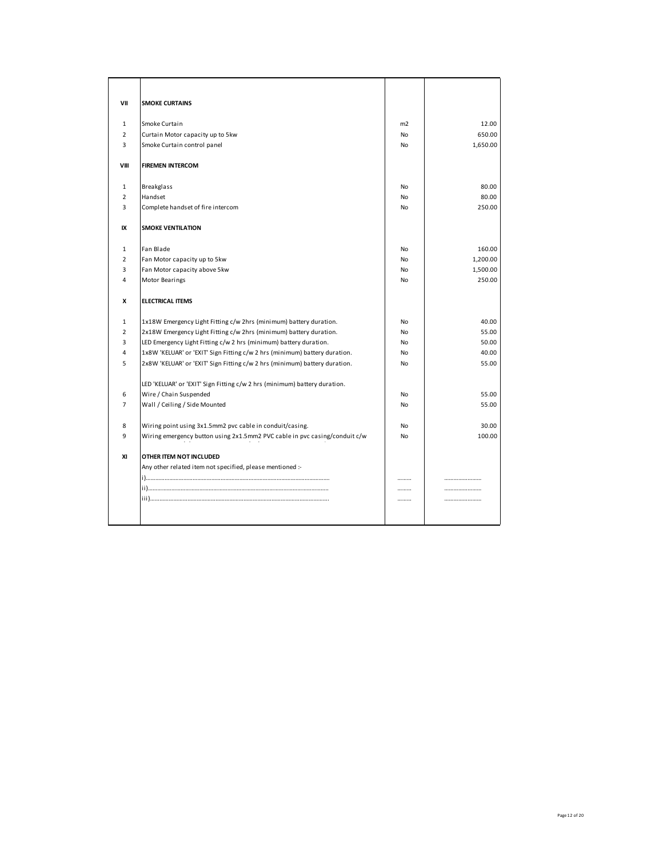| VII            | <b>SMOKE CURTAINS</b>                                                      |    |          |
|----------------|----------------------------------------------------------------------------|----|----------|
| 1              | Smoke Curtain                                                              | m2 | 12.00    |
| $\overline{2}$ | Curtain Motor capacity up to 5kw                                           | No | 650.00   |
| 3              | Smoke Curtain control panel                                                | No | 1,650.00 |
| VIII           | <b>FIREMEN INTERCOM</b>                                                    |    |          |
| 1              | <b>Breakglass</b>                                                          | No | 80.00    |
| $\overline{2}$ | Handset                                                                    | No | 80.00    |
| 3              | Complete handset of fire intercom                                          | No | 250.00   |
| IX             | <b>SMOKE VENTILATION</b>                                                   |    |          |
| $\mathbf{1}$   | Fan Blade                                                                  | No | 160.00   |
| $\overline{2}$ | Fan Motor capacity up to 5kw                                               | No | 1,200.00 |
| 3              | Fan Motor capacity above 5kw                                               | No | 1,500.00 |
| 4              | Motor Bearings                                                             | No | 250.00   |
| x              | <b>ELECTRICAL ITEMS</b>                                                    |    |          |
| $\mathbf{1}$   | 1x18W Emergency Light Fitting c/w 2hrs (minimum) battery duration.         | No | 40.00    |
| $\overline{2}$ | 2x18W Emergency Light Fitting c/w 2hrs (minimum) battery duration.         | No | 55.00    |
| 3              | LED Emergency Light Fitting c/w 2 hrs (minimum) battery duration.          | No | 50.00    |
| 4              | 1x8W 'KELUAR' or 'EXIT' Sign Fitting c/w 2 hrs (minimum) battery duration. | No | 40.00    |
| 5              | 2x8W 'KELUAR' or 'EXIT' Sign Fitting c/w 2 hrs (minimum) battery duration. | No | 55.00    |
|                | LED 'KELUAR' or 'EXIT' Sign Fitting c/w 2 hrs (minimum) battery duration.  |    |          |
| 6              | Wire / Chain Suspended                                                     | No | 55.00    |
| $\overline{7}$ | Wall / Ceiling / Side Mounted                                              | No | 55.00    |
| 8              | Wiring point using 3x1.5mm2 pvc cable in conduit/casing.                   | No | 30.00    |
| 9              | Wiring emergency button using 2x1.5mm2 PVC cable in pvc casing/conduit c/w | No | 100.00   |
| XI             | OTHER ITEM NOT INCLUDED                                                    |    |          |
|                | Any other related item not specified, please mentioned :-                  |    |          |
|                |                                                                            |    |          |
|                |                                                                            |    |          |
|                |                                                                            |    |          |
|                |                                                                            |    |          |
|                |                                                                            |    |          |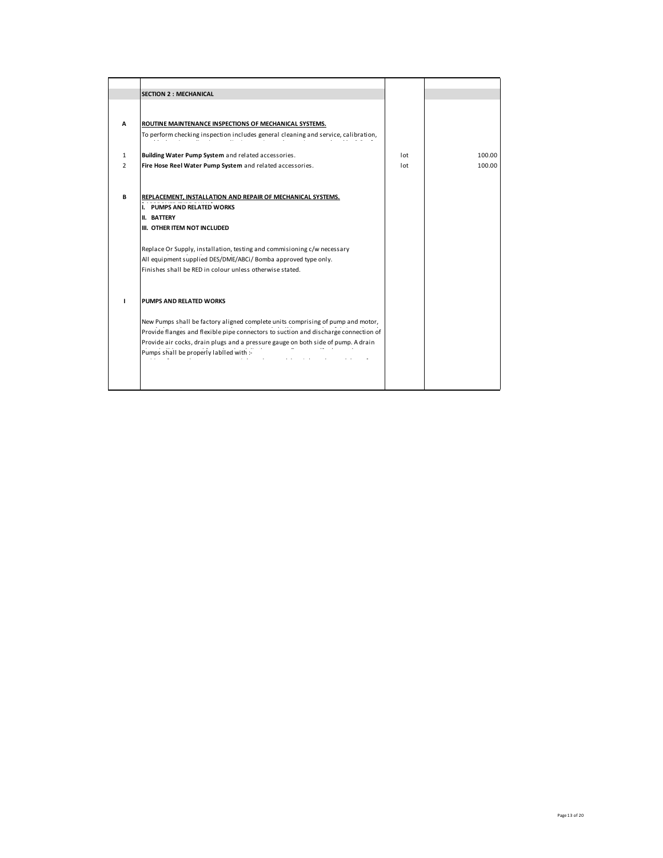|                | <b>SECTION 2 : MECHANICAL</b>                                                       |     |        |
|----------------|-------------------------------------------------------------------------------------|-----|--------|
|                |                                                                                     |     |        |
|                |                                                                                     |     |        |
| A              | ROUTINE MAINTENANCE INSPECTIONS OF MECHANICAL SYSTEMS.                              |     |        |
|                | To perform checking inspection includes general cleaning and service, calibration,  |     |        |
|                |                                                                                     |     |        |
| $\mathbf{1}$   | Building Water Pump System and related accessories.                                 | lot | 100.00 |
| $\overline{2}$ | Fire Hose Reel Water Pump System and related accessories.                           | lot | 100.00 |
|                |                                                                                     |     |        |
|                |                                                                                     |     |        |
| B              | REPLACEMENT, INSTALLATION AND REPAIR OF MECHANICAL SYSTEMS.                         |     |        |
|                | PUMPS AND RELATED WORKS<br>1.                                                       |     |        |
|                | <b>II. BATTERY</b>                                                                  |     |        |
|                | III. OTHER ITEM NOT INCLUDED                                                        |     |        |
|                | Replace Or Supply, installation, testing and commisioning c/w necessary             |     |        |
|                | All equipment supplied DES/DME/ABCi/ Bomba approved type only.                      |     |        |
|                | Finishes shall be RED in colour unless otherwise stated.                            |     |        |
|                |                                                                                     |     |        |
|                |                                                                                     |     |        |
|                | PUMPS AND RELATED WORKS                                                             |     |        |
|                |                                                                                     |     |        |
|                | New Pumps shall be factory aligned complete units comprising of pump and motor,     |     |        |
|                | Provide flanges and flexible pipe connectors to suction and discharge connection of |     |        |
|                | Provide air cocks, drain plugs and a pressure gauge on both side of pump. A drain   |     |        |
|                | Pumps shall be properly labiled with :-                                             |     |        |
|                |                                                                                     |     |        |
|                |                                                                                     |     |        |
|                |                                                                                     |     |        |
|                |                                                                                     |     |        |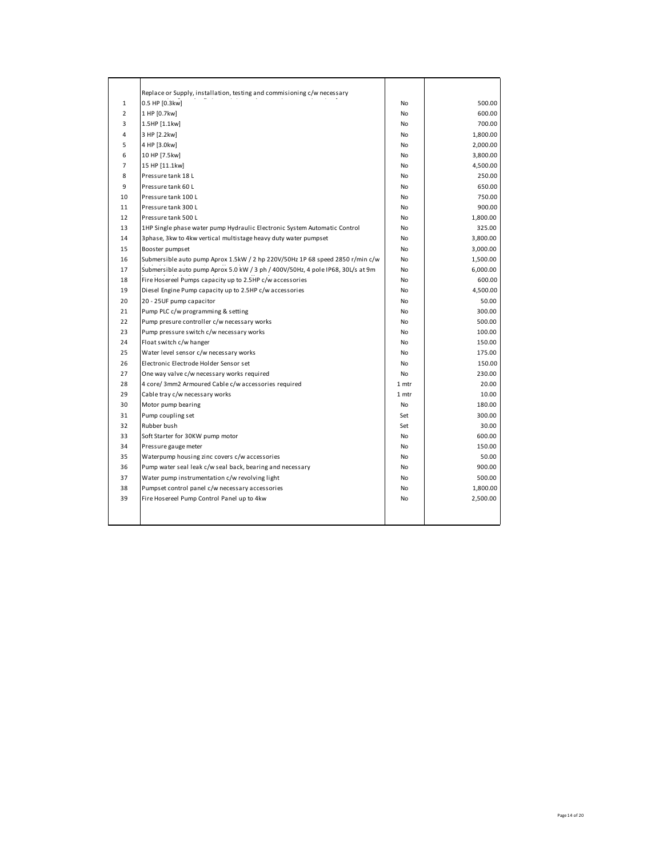|                | Replace or Supply, installation, testing and commisioning c/w necessary         |           |          |
|----------------|---------------------------------------------------------------------------------|-----------|----------|
| $\mathbf{1}$   | 0.5 HP [0.3kw]                                                                  | No        | 500.00   |
| $\overline{2}$ | 1 HP [0.7kw]                                                                    | <b>No</b> | 600.00   |
| 3              | 1.5HP [1.1kw]                                                                   | <b>No</b> | 700.00   |
| 4              | 3 HP [2.2kw]                                                                    | No        | 1,800.00 |
| 5              | 4 HP [3.0kw]                                                                    | <b>No</b> | 2,000.00 |
| 6              | 10 HP [7.5kw]                                                                   | No        | 3,800.00 |
| $\overline{7}$ | 15 HP [11.1kw]                                                                  | <b>No</b> | 4,500.00 |
| 8              | Pressure tank 18 L                                                              | <b>No</b> | 250.00   |
| 9              | Pressure tank 60 L                                                              | <b>No</b> | 650.00   |
| 10             | Pressure tank 100 L                                                             | <b>No</b> | 750.00   |
| 11             | Pressure tank 300 L                                                             | No        | 900.00   |
| 12             | Pressure tank 500 L                                                             | <b>No</b> | 1,800.00 |
| 13             | 1HP Single phase water pump Hydraulic Electronic System Automatic Control       | No        | 325.00   |
| 14             | 3phase, 3kw to 4kw vertical multistage heavy duty water pumpset                 | No        | 3,800.00 |
| 15             | Booster pumpset                                                                 | <b>No</b> | 3,000.00 |
| 16             | Submersible auto pump Aprox 1.5kW / 2 hp 220V/50Hz 1P 68 speed 2850 r/min c/w   | No        | 1,500.00 |
| 17             | Submersible auto pump Aprox 5.0 kW / 3 ph / 400V/50Hz, 4 pole IP68, 30L/s at 9m | <b>No</b> | 6,000.00 |
| 18             | Fire Hosereel Pumps capacity up to 2.5HP c/w accessories                        | No        | 600.00   |
| 19             | Diesel Engine Pump capacity up to 2.5HP c/w accessories                         | <b>No</b> | 4,500.00 |
| 20             | 20 - 25UF pump capacitor                                                        | No        | 50.00    |
| 21             | Pump PLC c/w programming & setting                                              | No        | 300.00   |
| 22             | Pump presure controller c/w necessary works                                     | <b>No</b> | 500.00   |
| 23             | Pump pressure switch c/w necessary works                                        | <b>No</b> | 100.00   |
| 24             | Float switch c/w hanger                                                         | <b>No</b> | 150.00   |
| 25             | Water level sensor c/w necessary works                                          | <b>No</b> | 175.00   |
| 26             | Electronic Electrode Holder Sensor set                                          | No        | 150.00   |
| 27             | One way valve c/w necessary works required                                      | No        | 230.00   |
| 28             | 4 core/ 3mm2 Armoured Cable c/w accessories required                            | 1 mtr     | 20.00    |
| 29             | Cable tray c/w necessary works                                                  | 1 mtr     | 10.00    |
| 30             | Motor pump bearing                                                              | <b>No</b> | 180.00   |
| 31             | Pump coupling set                                                               | Set       | 300.00   |
| 32             | Rubber bush                                                                     | Set       | 30.00    |
| 33             | Soft Starter for 30KW pump motor                                                | No        | 600.00   |
| 34             | Pressure gauge meter                                                            | <b>No</b> | 150.00   |
| 35             | Waterpump housing zinc covers c/w accessories                                   | <b>No</b> | 50.00    |
| 36             | Pump water seal leak c/w seal back, bearing and necessary                       | No        | 900.00   |
| 37             | Water pump instrumentation c/w revolving light                                  | <b>No</b> | 500.00   |
| 38             | Pumpset control panel c/w necessary accessories                                 | No        | 1,800.00 |
| 39             | Fire Hosereel Pump Control Panel up to 4kw                                      | No        | 2,500.00 |
|                |                                                                                 |           |          |
|                |                                                                                 |           |          |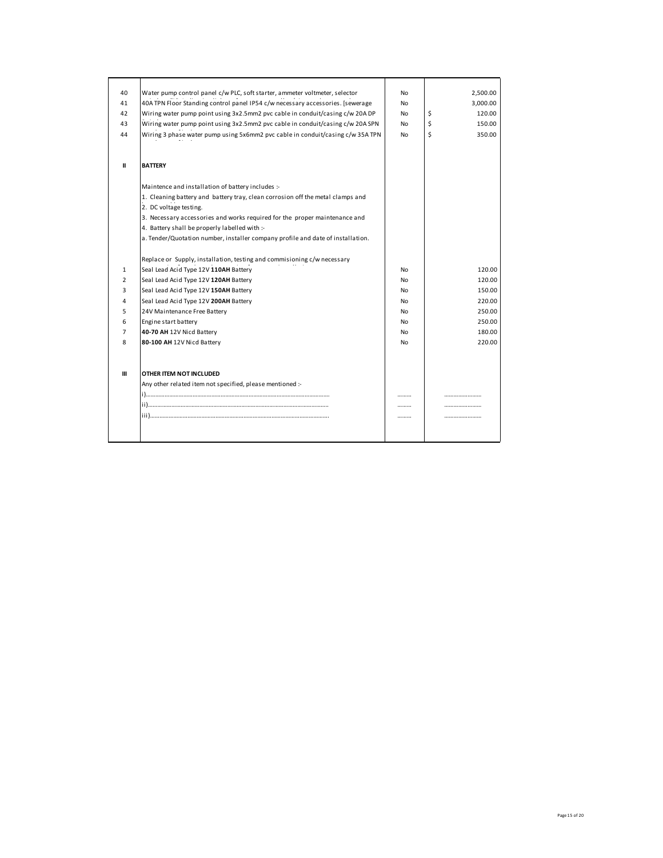| 40             | Water pump control panel c/w PLC, soft starter, ammeter voltmeter, selector     | No        | 2,500.00     |
|----------------|---------------------------------------------------------------------------------|-----------|--------------|
| 41             | 40A TPN Floor Standing control panel IP54 c/w necessary accessories. [sewerage  | No        | 3,000.00     |
| 42             | Wiring water pump point using 3x2.5mm2 pvc cable in conduit/casing c/w 20A DP   | <b>No</b> | \$<br>120.00 |
| 43             | Wiring water pump point using 3x2.5mm2 pvc cable in conduit/casing c/w 20A SPN  | No        | Ś<br>150.00  |
| 44             | Wiring 3 phase water pump using 5x6mm2 pvc cable in conduit/casing c/w 35A TPN  | No        | \$<br>350.00 |
| Ш              | <b>BATTERY</b>                                                                  |           |              |
|                | Maintence and installation of battery includes :-                               |           |              |
|                | 1. Cleaning battery and battery tray, clean corrosion off the metal clamps and  |           |              |
|                | 2. DC voltage testing.                                                          |           |              |
|                | 3. Necessary accessories and works required for the proper maintenance and      |           |              |
|                | 4. Battery shall be properly labelled with :-                                   |           |              |
|                | a. Tender/Quotation number, installer company profile and date of installation. |           |              |
|                | Replace or Supply, installation, testing and commisioning c/w necessary         |           |              |
| $\mathbf{1}$   | Seal Lead Acid Type 12V 110AH Battery                                           | <b>No</b> | 120.00       |
| $\overline{2}$ | Seal Lead Acid Type 12V 120AH Battery                                           | <b>No</b> | 120.00       |
| 3              | Seal Lead Acid Type 12V 150AH Battery                                           | <b>No</b> | 150.00       |
| 4              | Seal Lead Acid Type 12V 200AH Battery                                           | No        | 220.00       |
| 5              | 24V Maintenance Free Battery                                                    | <b>No</b> | 250.00       |
| 6              | Engine start battery                                                            | <b>No</b> | 250.00       |
| $\overline{7}$ | 40-70 AH 12V Nicd Battery                                                       | No        | 180.00       |
| 8              | 80-100 AH 12V Nicd Battery                                                      | <b>No</b> | 220.00       |
| $\mathbf{m}$   | OTHER ITEM NOT INCLUDED                                                         |           |              |
|                | Any other related item not specified, please mentioned :-                       |           |              |
|                |                                                                                 |           |              |
|                |                                                                                 | .         |              |
|                |                                                                                 |           |              |
|                |                                                                                 |           |              |
|                |                                                                                 |           |              |
|                |                                                                                 |           |              |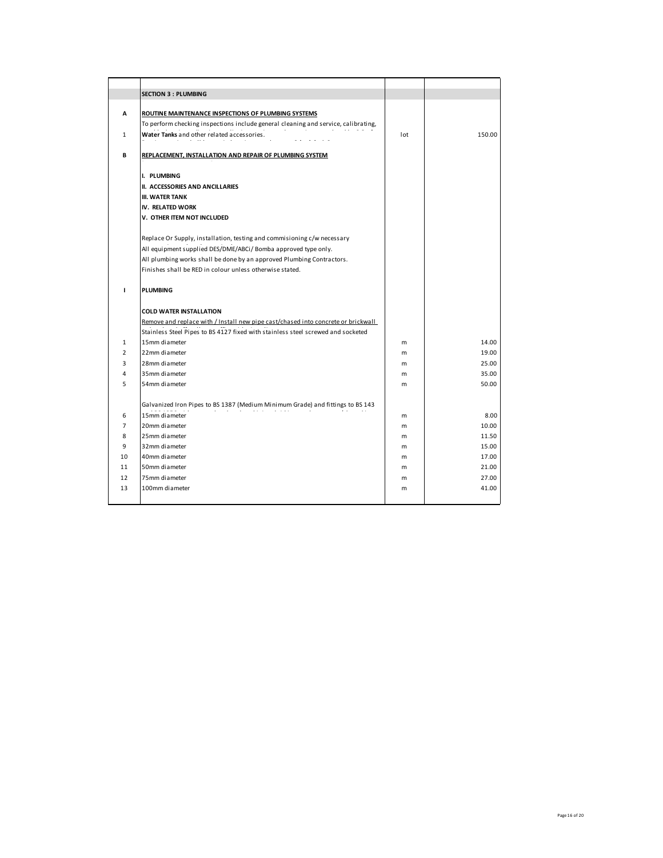|                | <b>SECTION 3 : PLUMBING</b>                                                        |     |        |
|----------------|------------------------------------------------------------------------------------|-----|--------|
| A              | ROUTINE MAINTENANCE INSPECTIONS OF PLUMBING SYSTEMS                                |     |        |
|                | To perform checking inspections include general cleaning and service, calibrating, |     |        |
| 1              | Water Tanks and other related accessories.                                         | lot | 150.00 |
| В              | REPLACEMENT, INSTALLATION AND REPAIR OF PLUMBING SYSTEM                            |     |        |
|                | I. PLUMBING                                                                        |     |        |
|                | <b>II. ACCESSORIES AND ANCILLARIES</b>                                             |     |        |
|                | <b>III. WATER TANK</b>                                                             |     |        |
|                | IV. RELATED WORK                                                                   |     |        |
|                | V. OTHER ITEM NOT INCLUDED                                                         |     |        |
|                | Replace Or Supply, installation, testing and commisioning c/w necessary            |     |        |
|                | All equipment supplied DES/DME/ABCi/ Bomba approved type only.                     |     |        |
|                | All plumbing works shall be done by an approved Plumbing Contractors.              |     |        |
|                | Finishes shall be RED in colour unless otherwise stated.                           |     |        |
|                |                                                                                    |     |        |
| $\mathbf{I}$   | <b>PLUMBING</b>                                                                    |     |        |
|                |                                                                                    |     |        |
|                | <b>COLD WATER INSTALLATION</b>                                                     |     |        |
|                | Remove and replace with / Install new pipe cast/chased into concrete or brickwall  |     |        |
|                | Stainless Steel Pipes to BS 4127 fixed with stainless steel screwed and socketed   |     |        |
| $\mathbf{1}$   | 15mm diameter                                                                      | m   | 14.00  |
| $\overline{2}$ | 22mm diameter                                                                      | m   | 19.00  |
| 3              | 28mm diameter                                                                      | m   | 25.00  |
| 4              | 35mm diameter                                                                      | m   | 35.00  |
| 5              | 54mm diameter                                                                      | m   | 50.00  |
|                | Galvanized Iron Pipes to BS 1387 (Medium Minimum Grade) and fittings to BS 143     |     |        |
| 6              | 15mm diameter                                                                      | m   | 8.00   |
| 7              | 20mm diameter                                                                      | m   | 10.00  |
| 8              | 25mm diameter                                                                      | m   | 11.50  |
| 9              | 32mm diameter                                                                      | m   | 15.00  |
| 10             | 40mm diameter                                                                      | m   | 17.00  |
| 11             | 50mm diameter                                                                      | m   | 21.00  |
| 12             | 75mm diameter                                                                      | m   | 27.00  |
| 13             | 100mm diameter                                                                     | m   | 41.00  |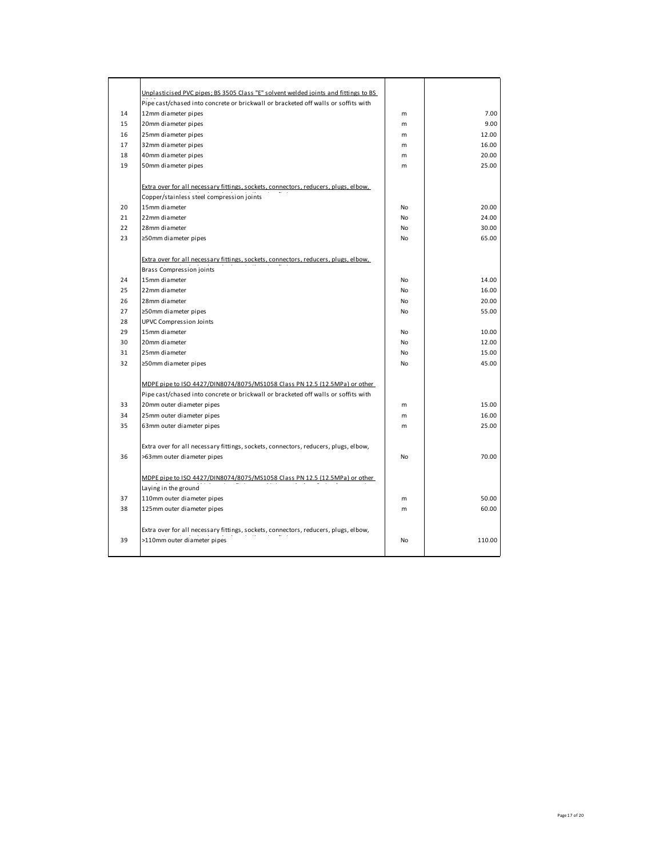|    | Unplasticised PVC pipes; BS 3505 Class "E" solvent welded joints and fittings to BS |    |        |
|----|-------------------------------------------------------------------------------------|----|--------|
|    | Pipe cast/chased into concrete or brickwall or bracketed off walls or soffits with  |    |        |
| 14 | 12mm diameter pipes                                                                 | m  | 7.00   |
| 15 | 20mm diameter pipes                                                                 | m  | 9.00   |
| 16 | 25mm diameter pipes                                                                 | m  | 12.00  |
| 17 | 32mm diameter pipes                                                                 | m  | 16.00  |
| 18 | 40mm diameter pipes                                                                 | m  | 20.00  |
| 19 | 50mm diameter pipes                                                                 | m  | 25.00  |
|    |                                                                                     |    |        |
|    | Extra over for all necessary fittings, sockets, connectors, reducers, plugs, elbow, |    |        |
|    | Copper/stainless steel compression joints                                           |    |        |
| 20 | 15mm diameter                                                                       | No | 20.00  |
| 21 | 22mm diameter                                                                       | No | 24.00  |
| 22 | 28mm diameter                                                                       | No | 30.00  |
| 23 | ≥50mm diameter pipes                                                                | No | 65.00  |
|    |                                                                                     |    |        |
|    | Extra over for all necessary fittings, sockets, connectors, reducers, plugs, elbow, |    |        |
|    | Brass Compression joints                                                            |    |        |
| 24 | 15mm diameter                                                                       | No | 14.00  |
| 25 | 22mm diameter                                                                       | No | 16.00  |
| 26 | 28mm diameter                                                                       | No | 20.00  |
| 27 | ≥50mm diameter pipes                                                                | No | 55.00  |
| 28 | <b>UPVC Compression Joints</b>                                                      |    |        |
| 29 | 15mm diameter                                                                       | No | 10.00  |
| 30 | 20mm diameter                                                                       | No | 12.00  |
| 31 | 25mm diameter                                                                       | No | 15.00  |
| 32 | ≥50mm diameter pipes                                                                | No | 45.00  |
|    |                                                                                     |    |        |
|    | MDPE pipe to ISO 4427/DIN8074/8075/MS1058 Class PN 12.5 (12.5MPa) or other          |    |        |
|    | Pipe cast/chased into concrete or brickwall or bracketed off walls or soffits with  |    |        |
| 33 | 20mm outer diameter pipes                                                           | m  | 15.00  |
| 34 | 25mm outer diameter pipes                                                           | m  | 16.00  |
| 35 | 63mm outer diameter pipes                                                           | m  | 25.00  |
|    |                                                                                     |    |        |
|    | Extra over for all necessary fittings, sockets, connectors, reducers, plugs, elbow, |    |        |
| 36 | >63mm outer diameter pipes                                                          | No | 70.00  |
|    |                                                                                     |    |        |
|    | MDPE pipe to ISO 4427/DIN8074/8075/MS1058 Class PN 12.5 (12.5MPa) or other          |    |        |
|    | Laying in the ground                                                                |    |        |
| 37 | 110mm outer diameter pipes                                                          | m  | 50.00  |
| 38 | 125mm outer diameter pipes                                                          | m  | 60.00  |
|    |                                                                                     |    |        |
|    | Extra over for all necessary fittings, sockets, connectors, reducers, plugs, elbow, |    |        |
| 39 | >110mm outer diameter pipes                                                         | No | 110.00 |
|    |                                                                                     |    |        |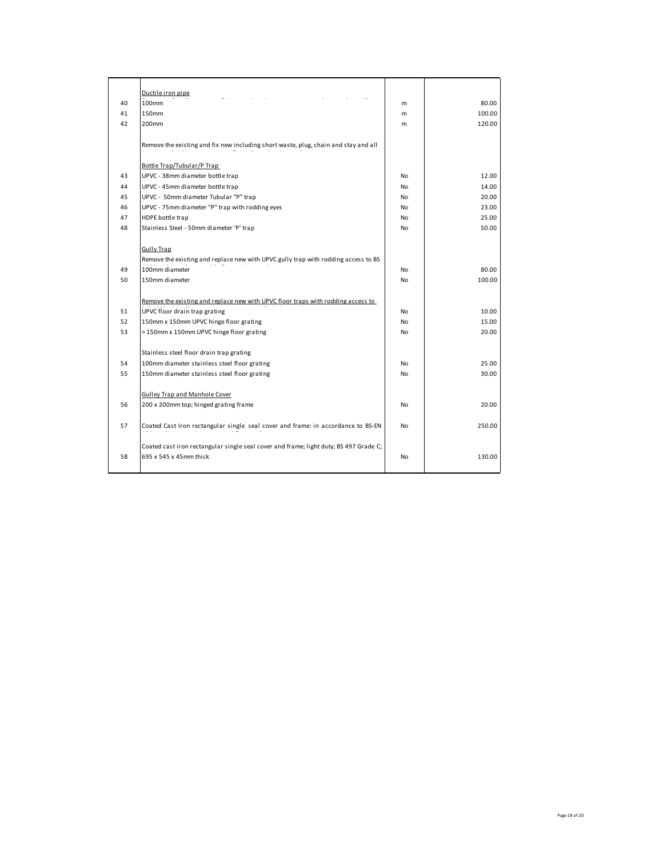|    | Ductile iron pipe                                                                                               |    |        |
|----|-----------------------------------------------------------------------------------------------------------------|----|--------|
| 40 | 100mm                                                                                                           | m  | 80.00  |
| 41 | 150mm                                                                                                           | m  | 100.00 |
| 42 | 200mm                                                                                                           | m  | 120.00 |
|    | Remove the existing and fix new including short waste, plug, chain and stay and all                             |    |        |
|    | Bottle Trap/Tubular/P Trap                                                                                      |    |        |
| 43 | UPVC - 38mm diameter bottle trap                                                                                | No | 12.00  |
| 44 | UPVC - 45mm diameter bottle trap                                                                                | No | 14.00  |
| 45 | UPVC - 50mm diameter Tubular "P" trap                                                                           | No | 20.00  |
| 46 | UPVC - 75mm diameter "P" trap with rodding eyes                                                                 | No | 23.00  |
| 47 | HDPE bottle trap                                                                                                | No | 25.00  |
| 48 | Stainless Steel - 50mm diameter 'P' trap                                                                        | No | 50.00  |
|    | <b>Gully Trap</b>                                                                                               |    |        |
|    | Remove the existing and replace new with UPVC gully trap with rodding access to BS                              |    |        |
| 49 | 100mm diameter                                                                                                  | No | 80.00  |
| 50 | 150mm diameter                                                                                                  | No | 100.00 |
|    | Remove the existing and replace new with UPVC floor traps with rodding access to                                |    |        |
| 51 | UPVC floor drain trap grating                                                                                   | No | 10.00  |
| 52 | 150mm x 150mm UPVC hinge floor grating                                                                          | No | 15.00  |
| 53 | >150mm x 150mm UPVC hinge floor grating                                                                         | No | 20.00  |
|    |                                                                                                                 |    |        |
|    | Stainless steel floor drain trap grating                                                                        |    |        |
| 54 | 100mm diameter stainless steel floor grating                                                                    | No | 25.00  |
| 55 | 150mm diameter stainless steel floor grating                                                                    | No | 30.00  |
|    | Gulley Trap and Manhole Cover                                                                                   |    |        |
| 56 | 200 x 200mm top; hinged grating frame                                                                           | No | 20.00  |
| 57 | Coated Cast Iron rectangular single seal cover and frame: in accordance to BS-EN                                | No | 250.00 |
| 58 | Coated cast iron rectangular single seal cover and frame; light duty; BS 497 Grade C;<br>695 x 545 x 45mm thick | No | 130.00 |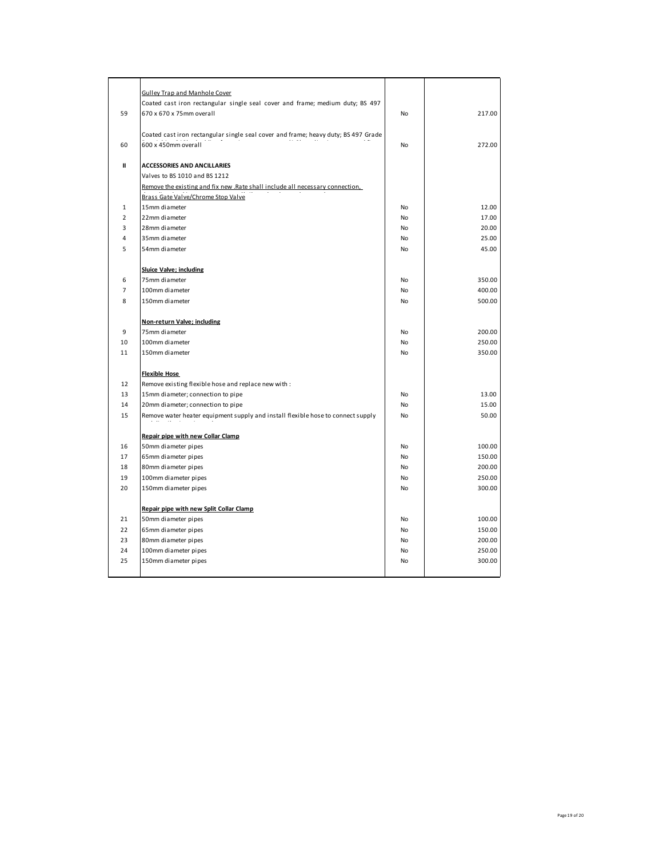|                | <b>Gulley Trap and Manhole Cover</b>                                               |    |        |
|----------------|------------------------------------------------------------------------------------|----|--------|
|                | Coated cast iron rectangular single seal cover and frame; medium duty; BS 497      |    |        |
| 59             | 670 x 670 x 75mm overall                                                           | No | 217.00 |
|                |                                                                                    |    |        |
|                | Coated cast iron rectangular single seal cover and frame; heavy duty; BS 497 Grade |    |        |
| 60             | 600 x 450mm overall                                                                | No | 272.00 |
|                |                                                                                    |    |        |
| $\mathbf{I}$   | <b>ACCESSORIES AND ANCILLARIES</b>                                                 |    |        |
|                | Valves to BS 1010 and BS 1212                                                      |    |        |
|                | Remove the existing and fix new . Rate shall include all necessary connection,     |    |        |
|                | Brass Gate Valve/Chrome Stop Valve                                                 |    |        |
| $\mathbf{1}$   | 15mm diameter                                                                      | No | 12.00  |
| $\overline{2}$ | 22mm diameter                                                                      | No | 17.00  |
| 3              | 28mm diameter                                                                      | No | 20.00  |
| 4              | 35mm diameter                                                                      | No | 25.00  |
| 5              | 54mm diameter                                                                      | No | 45.00  |
|                |                                                                                    |    |        |
|                | <b>Sluice Valve; including</b>                                                     |    |        |
| 6              | 75mm diameter                                                                      | No | 350.00 |
| $\overline{7}$ | 100mm diameter                                                                     | No | 400.00 |
| 8              | 150mm diameter                                                                     | No | 500.00 |
|                |                                                                                    |    |        |
|                | Non-return Valve; including                                                        |    |        |
| 9              | 75mm diameter                                                                      | No | 200.00 |
| 10             | 100mm diameter                                                                     | No | 250.00 |
| 11             | 150mm diameter                                                                     | No | 350.00 |
|                |                                                                                    |    |        |
|                | <b>Flexible Hose</b>                                                               |    |        |
| 12             | Remove existing flexible hose and replace new with :                               |    |        |
| 13             | 15mm diameter; connection to pipe                                                  | No | 13.00  |
| 14             | 20mm diameter; connection to pipe                                                  | No | 15.00  |
| 15             | Remove water heater equipment supply and install flexible hose to connect supply   | No | 50.00  |
|                |                                                                                    |    |        |
|                | Repair pipe with new Collar Clamp                                                  |    |        |
| 16             | 50mm diameter pipes                                                                | No | 100.00 |
| 17             | 65mm diameter pipes                                                                | No | 150.00 |
| 18             | 80mm diameter pipes                                                                | No | 200.00 |
| 19             | 100mm diameter pipes                                                               | No | 250.00 |
| 20             | 150mm diameter pipes                                                               | No | 300.00 |
|                |                                                                                    |    |        |
|                | Repair pipe with new Split Collar Clamp                                            |    |        |
| 21             | 50mm diameter pipes                                                                | No | 100.00 |
| 22             | 65mm diameter pipes                                                                | No | 150.00 |
| 23             | 80mm diameter pipes                                                                | No | 200.00 |
| 24             | 100mm diameter pipes                                                               | No | 250.00 |
| 25             | 150mm diameter pipes                                                               | No | 300.00 |
|                |                                                                                    |    |        |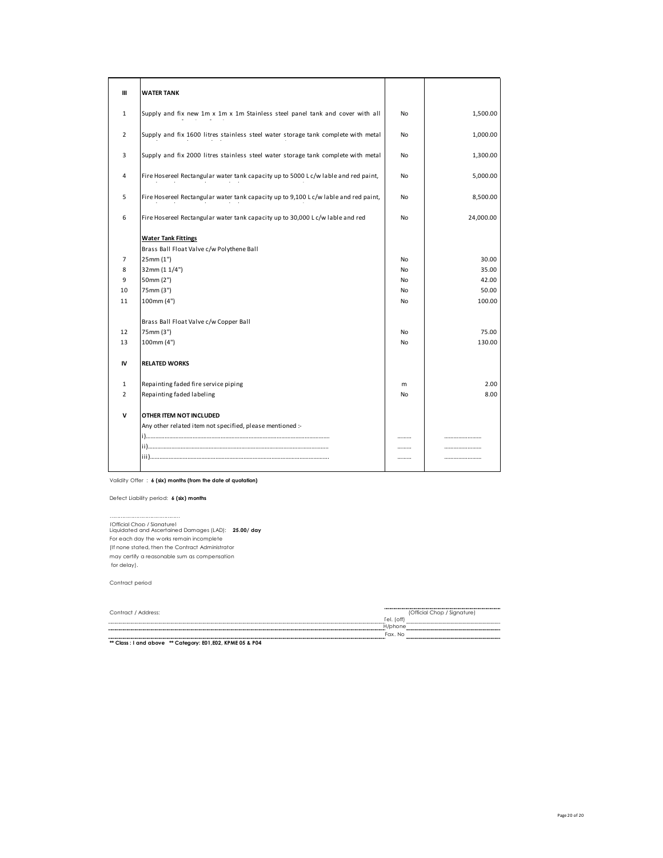| Ш              | <b>WATER TANK</b>                                                                   |    |           |
|----------------|-------------------------------------------------------------------------------------|----|-----------|
| $\mathbf{1}$   | Supply and fix new 1m x 1m x 1m Stainless steel panel tank and cover with all       | No | 1,500.00  |
| $\overline{2}$ | Supply and fix 1600 litres stainless steel water storage tank complete with metal   | No | 1,000.00  |
| 3              | Supply and fix 2000 litres stainless steel water storage tank complete with metal   | No | 1,300.00  |
| 4              | Fire Hosereel Rectangular water tank capacity up to 5000 Lc/w lable and red paint,  | No | 5,000.00  |
| 5              | Fire Hosereel Rectangular water tank capacity up to 9,100 Lc/w lable and red paint, | No | 8,500.00  |
| 6              | Fire Hosereel Rectangular water tank capacity up to 30,000 Lc/w lable and red       | No | 24,000.00 |
|                | <b>Water Tank Fittings</b>                                                          |    |           |
|                | Brass Ball Float Valve c/w Polythene Ball                                           |    |           |
| 7              | 25mm (1")                                                                           | No | 30.00     |
| 8              | 32mm (1 1/4")                                                                       | No | 35.00     |
| 9              | 50mm (2")                                                                           | No | 42.00     |
| 10             | 75mm (3")                                                                           | No | 50.00     |
| 11             | 100mm (4")                                                                          | No | 100.00    |
|                | Brass Ball Float Valve c/w Copper Ball                                              |    |           |
| 12             | 75mm (3")                                                                           | No | 75.00     |
| 13             | 100mm (4")                                                                          | No | 130.00    |
| IV             | <b>RELATED WORKS</b>                                                                |    |           |
| $\mathbf{1}$   | Repainting faded fire service piping                                                | m  | 2.00      |
| $\overline{2}$ | Repainting faded labeling                                                           | No | 8.00      |
| v              | OTHER ITEM NOT INCLUDED                                                             |    |           |
|                | Any other related item not specified, please mentioned :-                           |    |           |
|                |                                                                                     | .  |           |
|                |                                                                                     |    |           |
|                |                                                                                     |    |           |

Validity Offer : **6 (six) months (from the date of quotation)**

Defect Liability period: **6 (six) months**

……………………………………… (Official Chop / Signature) Liquidated and Ascertained Damages (LAD): **25.00/ day**  For each day the w orks remain incomplete (If none stated, then the Contract Administrator may certify a reasonable sum as compensation for delay).

Contract period

| Contract / Address:                                                | (Official Chop / Signature) |  |
|--------------------------------------------------------------------|-----------------------------|--|
|                                                                    | rel. (off                   |  |
|                                                                    | H/phone                     |  |
|                                                                    | Fax, No                     |  |
| <b>AR Class I would be seen an Colombia POS FOO VOILE OF A DOA</b> |                             |  |

**\*\* Class : I and above \*\* Category: E01,E02, KPME 05 & P04**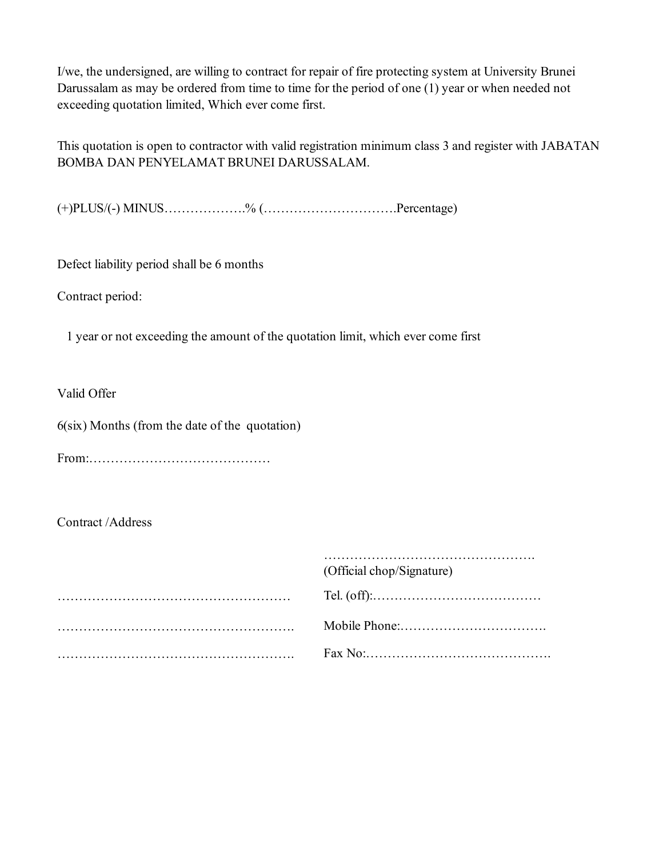I/we, the undersigned, are willing to contract for repair of fire protecting system at University Brunei Darussalam as may be ordered from time to time for the period of one (1) year or when needed not exceeding quotation limited, Which ever come first.

This quotation is open to contractor with valid registration minimum class 3 and register with JABATAN BOMBA DAN PENYELAMAT BRUNEI DARUSSALAM.

(+)PLUS/(-) MINUS……………….% (………………………….Percentage)

Defect liability period shall be 6 months

Contract period:

1 year or not exceeding the amount of the quotation limit, which ever come first

Valid Offer

6(six) Months (from the date of the quotation)

From:……………………………………

Contract /Address

| (Official chop/Signature) |
|---------------------------|
|                           |
|                           |
|                           |